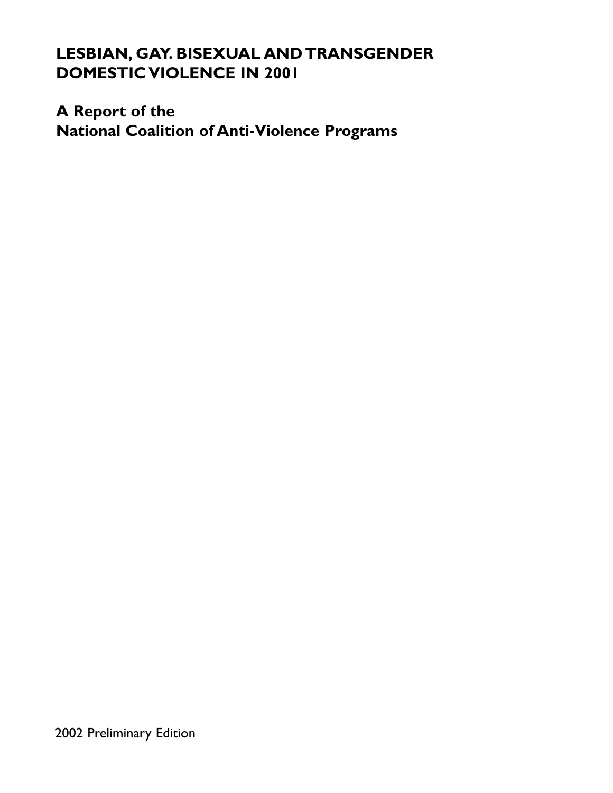# **LESBIAN, GAY. BISEXUAL AND TRANSGENDER DOMESTIC VIOLENCE IN 2001**

# **A Report of the**

**National Coalition of Anti-Violence Programs**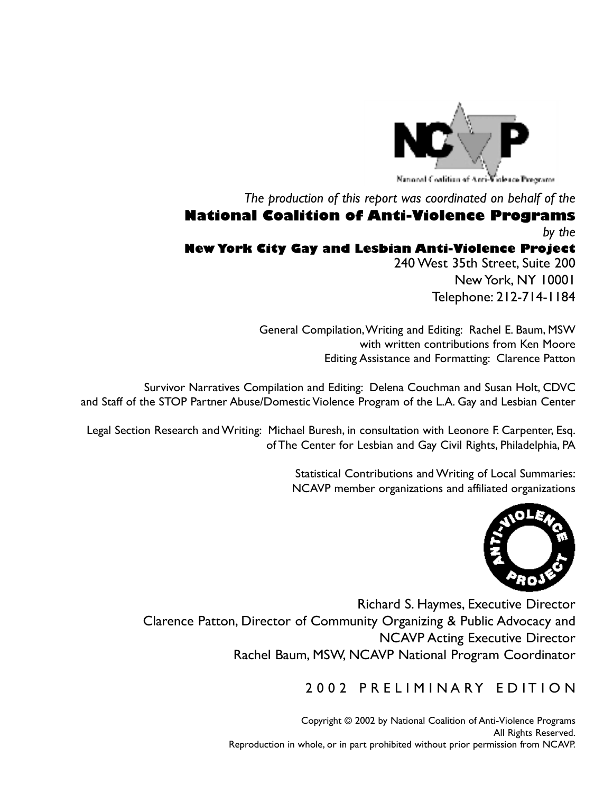

*The production of this report was coordinated on behalf of the*

# **National Coalition of Anti-Violence Programs** *by the*

# **New York City Gay and Lesbian Anti-Violence Project**

240 West 35th Street, Suite 200 New York, NY 10001 Telephone: 212-714-1184

General Compilation,Writing and Editing: Rachel E. Baum, MSW with written contributions from Ken Moore Editing Assistance and Formatting: Clarence Patton

Survivor Narratives Compilation and Editing: Delena Couchman and Susan Holt, CDVC and Staff of the STOP Partner Abuse/Domestic Violence Program of the L.A. Gay and Lesbian Center

Legal Section Research and Writing: Michael Buresh, in consultation with Leonore F. Carpenter, Esq. of The Center for Lesbian and Gay Civil Rights, Philadelphia, PA

> Statistical Contributions and Writing of Local Summaries: NCAVP member organizations and affiliated organizations



Richard S. Haymes, Executive Director Clarence Patton, Director of Community Organizing & Public Advocacy and NCAVP Acting Executive Director Rachel Baum, MSW, NCAVP National Program Coordinator

# 2002 PRELIMINARY EDITION

Copyright © 2002 by National Coalition of Anti-Violence Programs All Rights Reserved. Reproduction in whole, or in part prohibited without prior permission from NCAVP.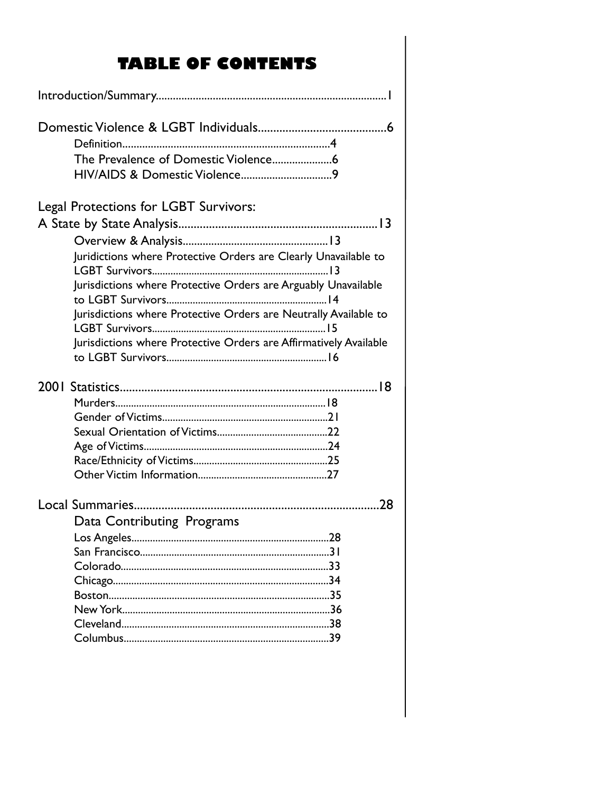# **TABLE OF CONTENTS**

| Legal Protections for LGBT Survivors:                                                                                             |  |
|-----------------------------------------------------------------------------------------------------------------------------------|--|
|                                                                                                                                   |  |
|                                                                                                                                   |  |
| Juridictions where Protective Orders are Clearly Unavailable to<br>Jurisdictions where Protective Orders are Arguably Unavailable |  |
| Jurisdictions where Protective Orders are Neutrally Available to                                                                  |  |
| Jurisdictions where Protective Orders are Affirmatively Available                                                                 |  |
|                                                                                                                                   |  |
|                                                                                                                                   |  |
|                                                                                                                                   |  |
|                                                                                                                                   |  |
|                                                                                                                                   |  |
|                                                                                                                                   |  |
|                                                                                                                                   |  |
|                                                                                                                                   |  |
| Data Contributing Programs                                                                                                        |  |
| .28<br>Los Angeles.                                                                                                               |  |
|                                                                                                                                   |  |
|                                                                                                                                   |  |
|                                                                                                                                   |  |
|                                                                                                                                   |  |
|                                                                                                                                   |  |
|                                                                                                                                   |  |
|                                                                                                                                   |  |
|                                                                                                                                   |  |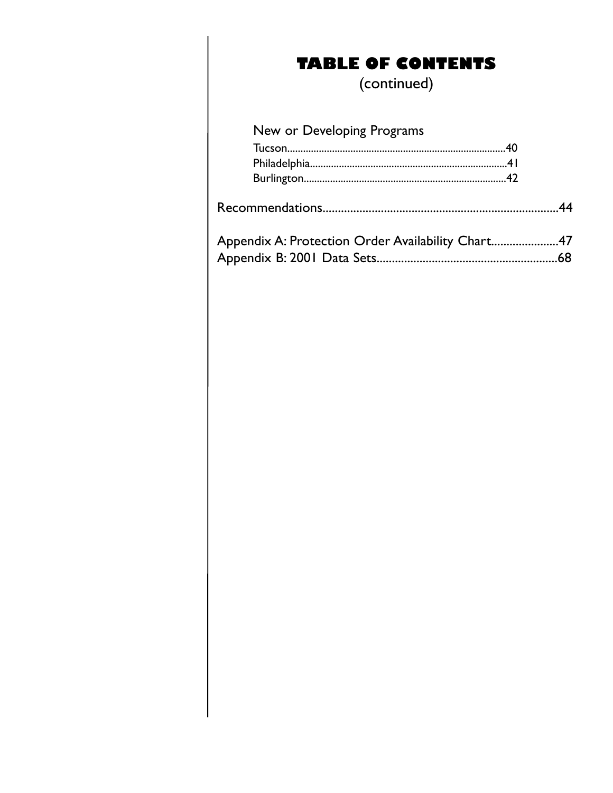# **TABLE OF CONTENTS**

(continued)

# New or Developing Programs

| Appendix A: Protection Order Availability Chart47 |
|---------------------------------------------------|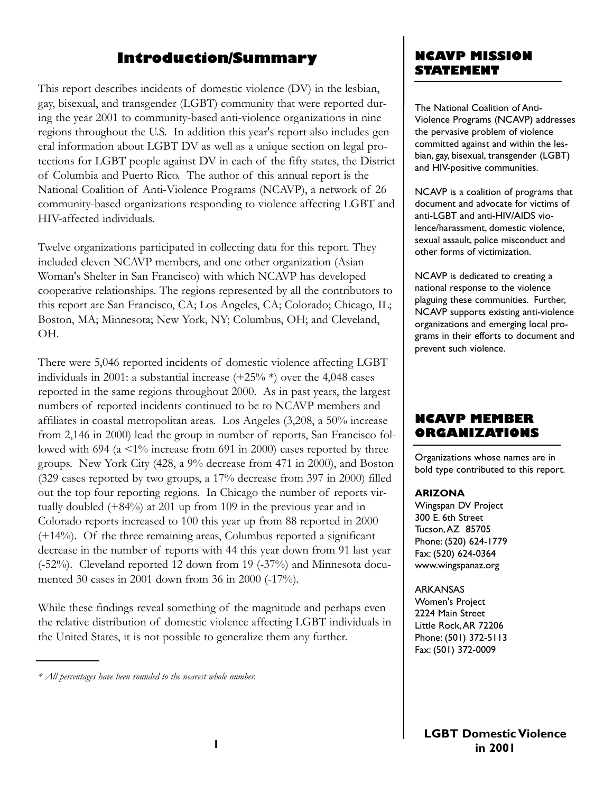# **Introduction/Summary**

This report describes incidents of domestic violence (DV) in the lesbian, gay, bisexual, and transgender (LGBT) community that were reported during the year 2001 to community-based anti-violence organizations in nine regions throughout the U.S. In addition this year's report also includes general information about LGBT DV as well as a unique section on legal protections for LGBT people against DV in each of the fifty states, the District of Columbia and Puerto Rico. The author of this annual report is the National Coalition of Anti-Violence Programs (NCAVP), a network of 26 community-based organizations responding to violence affecting LGBT and HIV-affected individuals.

Twelve organizations participated in collecting data for this report. They included eleven NCAVP members, and one other organization (Asian Woman's Shelter in San Francisco) with which NCAVP has developed cooperative relationships. The regions represented by all the contributors to this report are San Francisco, CA; Los Angeles, CA; Colorado; Chicago, IL; Boston, MA; Minnesota; New York, NY; Columbus, OH; and Cleveland, OH.

There were 5,046 reported incidents of domestic violence affecting LGBT individuals in 2001: a substantial increase  $(+25\%*)$  over the 4,048 cases reported in the same regions throughout 2000. As in past years, the largest numbers of reported incidents continued to be to NCAVP members and affiliates in coastal metropolitan areas. Los Angeles (3,208, a 50% increase from 2,146 in 2000) lead the group in number of reports, San Francisco followed with 694 (a <1% increase from 691 in 2000) cases reported by three groups. New York City (428, a 9% decrease from 471 in 2000), and Boston (329 cases reported by two groups, a 17% decrease from 397 in 2000) filled out the top four reporting regions. In Chicago the number of reports virtually doubled (+84%) at 201 up from 109 in the previous year and in Colorado reports increased to 100 this year up from 88 reported in 2000 (+14%). Of the three remaining areas, Columbus reported a significant decrease in the number of reports with 44 this year down from 91 last year (-52%). Cleveland reported 12 down from 19 (-37%) and Minnesota documented 30 cases in 2001 down from 36 in 2000 (-17%).

While these findings reveal something of the magnitude and perhaps even the relative distribution of domestic violence affecting LGBT individuals in the United States, it is not possible to generalize them any further.

# **NCAVP MISSION STATEMENT**

The National Coalition of Anti-Violence Programs (NCAVP) addresses the pervasive problem of violence committed against and within the lesbian, gay, bisexual, transgender (LGBT) and HIV-positive communities.

NCAVP is a coalition of programs that document and advocate for victims of anti-LGBT and anti-HIV/AIDS violence/harassment, domestic violence, sexual assault, police misconduct and other forms of victimization.

NCAVP is dedicated to creating a national response to the violence plaguing these communities. Further, NCAVP supports existing anti-violence organizations and emerging local programs in their efforts to document and prevent such violence.

# **NCAVP MEMBER ORGANIZATIONS**

Organizations whose names are in bold type contributed to this report.

#### **ARIZONA**

Wingspan DV Project 300 E. 6th Street Tucson,AZ 85705 Phone: (520) 624-1779 Fax: (520) 624-0364 www.wingspanaz.org

#### ARKANSAS

Women's Project 2224 Main Street Little Rock,AR 72206 Phone: (501) 372-5113 Fax: (501) 372-0009

*<sup>\*</sup> All percentages have been rounded to the nearest whole number.*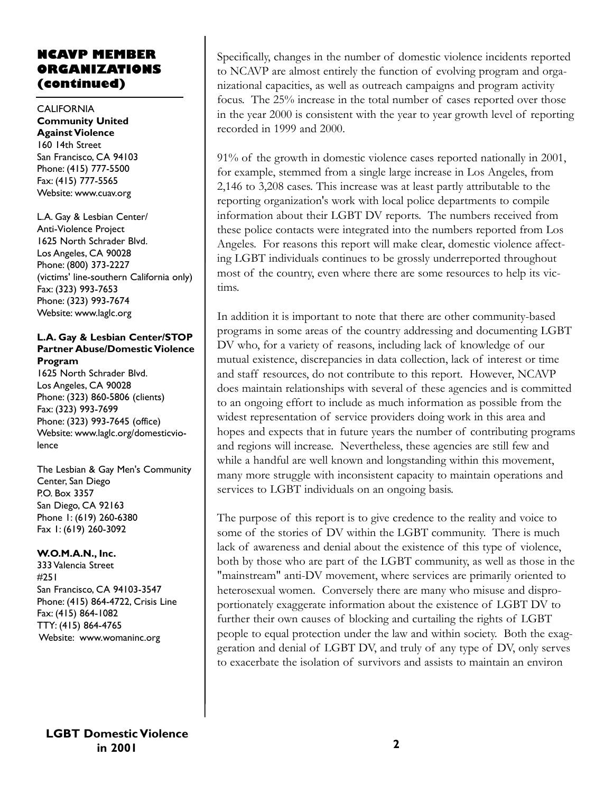# **NCAVP MEMBER ORGANIZATIONS (continued)**

#### CALIFORNIA **Community United Against Violence** 160 14th Street San Francisco, CA 94103 Phone: (415) 777-5500 Fax: (415) 777-5565 Website: www.cuav.org

L.A. Gay & Lesbian Center/ Anti-Violence Project 1625 North Schrader Blvd. Los Angeles, CA 90028 Phone: (800) 373-2227 (victims' line-southern California only) Fax: (323) 993-7653 Phone: (323) 993-7674 Website: www.laglc.org

#### **L.A. Gay & Lesbian Center/STOP Partner Abuse/Domestic Violence Program**

1625 North Schrader Blvd. Los Angeles, CA 90028 Phone: (323) 860-5806 (clients) Fax: (323) 993-7699 Phone: (323) 993-7645 (office) Website: www.laglc.org/domesticviolence

The Lesbian & Gay Men's Community Center, San Diego P.O. Box 3357 San Diego, CA 92163 Phone 1: (619) 260-6380 Fax 1: (619) 260-3092

### **W.O.M.A.N., Inc.**

333 Valencia Street #251 San Francisco, CA 94103-3547 Phone: (415) 864-4722, Crisis Line Fax: (415) 864-1082 TTY: (415) 864-4765 Website: www.womaninc.org

Specifically, changes in the number of domestic violence incidents reported to NCAVP are almost entirely the function of evolving program and organizational capacities, as well as outreach campaigns and program activity focus. The 25% increase in the total number of cases reported over those in the year 2000 is consistent with the year to year growth level of reporting recorded in 1999 and 2000.

91% of the growth in domestic violence cases reported nationally in 2001, for example, stemmed from a single large increase in Los Angeles, from 2,146 to 3,208 cases. This increase was at least partly attributable to the reporting organization's work with local police departments to compile information about their LGBT DV reports. The numbers received from these police contacts were integrated into the numbers reported from Los Angeles. For reasons this report will make clear, domestic violence affecting LGBT individuals continues to be grossly underreported throughout most of the country, even where there are some resources to help its victims.

In addition it is important to note that there are other community-based programs in some areas of the country addressing and documenting LGBT DV who, for a variety of reasons, including lack of knowledge of our mutual existence, discrepancies in data collection, lack of interest or time and staff resources, do not contribute to this report. However, NCAVP does maintain relationships with several of these agencies and is committed to an ongoing effort to include as much information as possible from the widest representation of service providers doing work in this area and hopes and expects that in future years the number of contributing programs and regions will increase. Nevertheless, these agencies are still few and while a handful are well known and longstanding within this movement, many more struggle with inconsistent capacity to maintain operations and services to LGBT individuals on an ongoing basis.

The purpose of this report is to give credence to the reality and voice to some of the stories of DV within the LGBT community. There is much lack of awareness and denial about the existence of this type of violence, both by those who are part of the LGBT community, as well as those in the "mainstream" anti-DV movement, where services are primarily oriented to heterosexual women. Conversely there are many who misuse and disproportionately exaggerate information about the existence of LGBT DV to further their own causes of blocking and curtailing the rights of LGBT people to equal protection under the law and within society. Both the exaggeration and denial of LGBT DV, and truly of any type of DV, only serves to exacerbate the isolation of survivors and assists to maintain an environ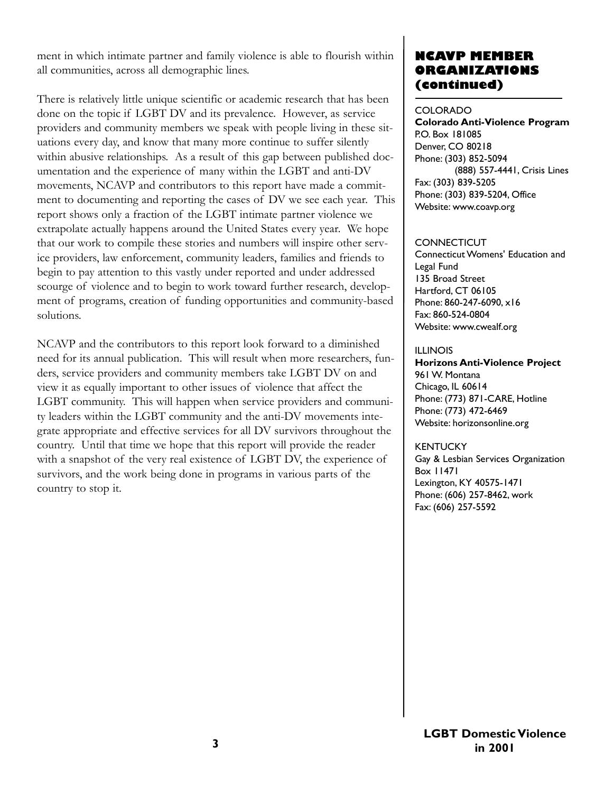ment in which intimate partner and family violence is able to flourish within all communities, across all demographic lines.

There is relatively little unique scientific or academic research that has been done on the topic if LGBT DV and its prevalence. However, as service providers and community members we speak with people living in these situations every day, and know that many more continue to suffer silently within abusive relationships. As a result of this gap between published documentation and the experience of many within the LGBT and anti-DV movements, NCAVP and contributors to this report have made a commitment to documenting and reporting the cases of DV we see each year. This report shows only a fraction of the LGBT intimate partner violence we extrapolate actually happens around the United States every year. We hope that our work to compile these stories and numbers will inspire other service providers, law enforcement, community leaders, families and friends to begin to pay attention to this vastly under reported and under addressed scourge of violence and to begin to work toward further research, development of programs, creation of funding opportunities and community-based solutions.

NCAVP and the contributors to this report look forward to a diminished need for its annual publication. This will result when more researchers, funders, service providers and community members take LGBT DV on and view it as equally important to other issues of violence that affect the LGBT community. This will happen when service providers and community leaders within the LGBT community and the anti-DV movements integrate appropriate and effective services for all DV survivors throughout the country. Until that time we hope that this report will provide the reader with a snapshot of the very real existence of LGBT DV, the experience of survivors, and the work being done in programs in various parts of the country to stop it.

# **NCAVP MEMBER ORGANIZATIONS (continued)**

#### COLORADO

**Colorado Anti-Violence Program**  P.O. Box 181085 Denver, CO 80218 Phone: (303) 852-5094 (888) 557-4441, Crisis Lines Fax: (303) 839-5205 Phone: (303) 839-5204, Office Website: www.coavp.org

#### **CONNECTICUT**

Connecticut Womens' Education and Legal Fund 135 Broad Street Hartford, CT 06105 Phone: 860-247-6090, x16 Fax: 860-524-0804 Website: www.cwealf.org

#### ILLINOIS

**Horizons Anti-Violence Project** 961 W. Montana Chicago, IL 60614 Phone: (773) 871-CARE, Hotline Phone: (773) 472-6469 Website: horizonsonline.org

KENTUCKY Gay & Lesbian Services Organization Box 11471 Lexington, KY 40575-1471 Phone: (606) 257-8462, work Fax: (606) 257-5592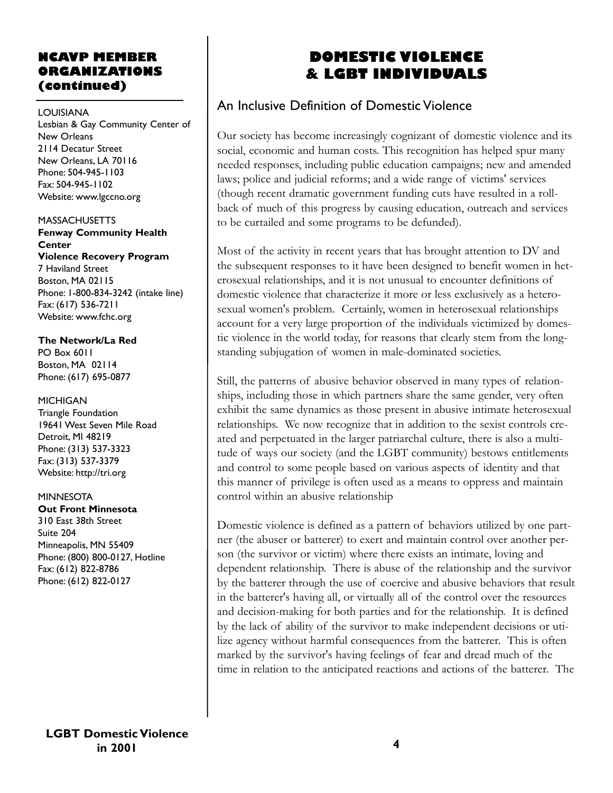# **NCAVP MEMBER ORGANIZATIONS (continued)**

#### LOUISIANA

Lesbian & Gay Community Center of New Orleans 2114 Decatur Street New Orleans, LA 70116 Phone: 504-945-1103 Fax: 504-945-1102 Website: www.lgccno.org

MASSACHUSETTS

**Fenway Community Health Center Violence Recovery Program** 7 Haviland Street Boston, MA 02115 Phone: 1-800-834-3242 (intake line) Fax: (617) 536-7211 Website: www.fchc.org

**The Network/La Red** PO Box 6011 Boston, MA 02114 Phone: (617) 695-0877

MICHIGAN Triangle Foundation 19641 West Seven Mile Road Detroit, MI 48219 Phone: (313) 537-3323 Fax: (313) 537-3379 Website: http://tri.org

MINNESOTA

**Out Front Minnesota** 310 East 38th Street Suite 204 Minneapolis, MN 55409 Phone: (800) 800-0127, Hotline Fax: (612) 822-8786 Phone: (612) 822-0127

# **DOMESTIC VIOLENCE & LGBT INDIVIDUALS**

# An Inclusive Definition of Domestic Violence

Our society has become increasingly cognizant of domestic violence and its social, economic and human costs. This recognition has helped spur many needed responses, including public education campaigns; new and amended laws; police and judicial reforms; and a wide range of victims' services (though recent dramatic government funding cuts have resulted in a rollback of much of this progress by causing education, outreach and services to be curtailed and some programs to be defunded).

Most of the activity in recent years that has brought attention to DV and the subsequent responses to it have been designed to benefit women in heterosexual relationships, and it is not unusual to encounter definitions of domestic violence that characterize it more or less exclusively as a heterosexual women's problem. Certainly, women in heterosexual relationships account for a very large proportion of the individuals victimized by domestic violence in the world today, for reasons that clearly stem from the longstanding subjugation of women in male-dominated societies.

Still, the patterns of abusive behavior observed in many types of relationships, including those in which partners share the same gender, very often exhibit the same dynamics as those present in abusive intimate heterosexual relationships. We now recognize that in addition to the sexist controls created and perpetuated in the larger patriarchal culture, there is also a multitude of ways our society (and the LGBT community) bestows entitlements and control to some people based on various aspects of identity and that this manner of privilege is often used as a means to oppress and maintain control within an abusive relationship

Domestic violence is defined as a pattern of behaviors utilized by one partner (the abuser or batterer) to exert and maintain control over another person (the survivor or victim) where there exists an intimate, loving and dependent relationship. There is abuse of the relationship and the survivor by the batterer through the use of coercive and abusive behaviors that result in the batterer's having all, or virtually all of the control over the resources and decision-making for both parties and for the relationship. It is defined by the lack of ability of the survivor to make independent decisions or utilize agency without harmful consequences from the batterer. This is often marked by the survivor's having feelings of fear and dread much of the time in relation to the anticipated reactions and actions of the batterer. The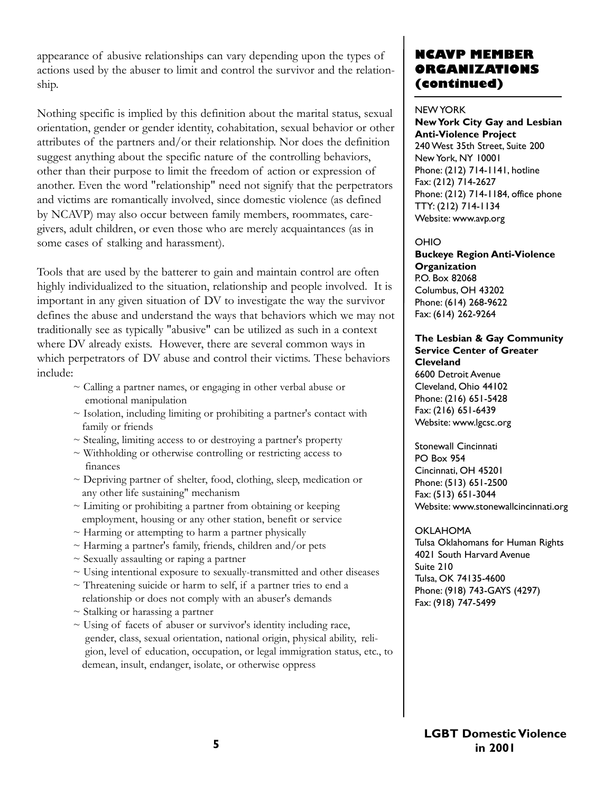appearance of abusive relationships can vary depending upon the types of actions used by the abuser to limit and control the survivor and the relationship.

Nothing specific is implied by this definition about the marital status, sexual orientation, gender or gender identity, cohabitation, sexual behavior or other attributes of the partners and/or their relationship. Nor does the definition suggest anything about the specific nature of the controlling behaviors, other than their purpose to limit the freedom of action or expression of another. Even the word "relationship" need not signify that the perpetrators and victims are romantically involved, since domestic violence (as defined by NCAVP) may also occur between family members, roommates, caregivers, adult children, or even those who are merely acquaintances (as in some cases of stalking and harassment).

Tools that are used by the batterer to gain and maintain control are often highly individualized to the situation, relationship and people involved. It is important in any given situation of DV to investigate the way the survivor defines the abuse and understand the ways that behaviors which we may not traditionally see as typically "abusive" can be utilized as such in a context where DV already exists. However, there are several common ways in which perpetrators of DV abuse and control their victims. These behaviors include:

- $\sim$  Calling a partner names, or engaging in other verbal abuse or emotional manipulation
- ~ Isolation, including limiting or prohibiting a partner's contact with family or friends
- ~ Stealing, limiting access to or destroying a partner's property
- ~ Withholding or otherwise controlling or restricting access to finances
- ~ Depriving partner of shelter, food, clothing, sleep, medication or any other life sustaining" mechanism
- $\sim$  Limiting or prohibiting a partner from obtaining or keeping employment, housing or any other station, benefit or service
- $\sim$  Harming or attempting to harm a partner physically
- $\sim$  Harming a partner's family, friends, children and/or pets
- $\sim$  Sexually assaulting or raping a partner
- ~ Using intentional exposure to sexually-transmitted and other diseases
- $\sim$  Threatening suicide or harm to self, if a partner tries to end a relationship or does not comply with an abuser's demands
- $\sim$  Stalking or harassing a partner
- ~ Using of facets of abuser or survivor's identity including race, gender, class, sexual orientation, national origin, physical ability, religion, level of education, occupation, or legal immigration status, etc., to demean, insult, endanger, isolate, or otherwise oppress

# **NCAVP MEMBER ORGANIZATIONS (continued)**

#### NEW YORK

**New York City Gay and Lesbian Anti-Violence Project** 240 West 35th Street, Suite 200 New York, NY 10001 Phone: (212) 714-1141, hotline Fax: (212) 714-2627 Phone: (212) 714-1184, office phone TTY: (212) 714-1134 Website: www.avp.org

#### OHIO

**Buckeye Region Anti-Violence Organization** P.O. Box 82068 Columbus, OH 43202 Phone: (614) 268-9622 Fax: (614) 262-9264

#### **The Lesbian & Gay Community Service Center of Greater Cleveland**

6600 Detroit Avenue Cleveland, Ohio 44102 Phone: (216) 651-5428 Fax: (216) 651-6439 Website: www.lgcsc.org

Stonewall Cincinnati PO Box 954 Cincinnati, OH 45201 Phone: (513) 651-2500 Fax: (513) 651-3044 Website: www.stonewallcincinnati.org

### OKLAHOMA

Tulsa Oklahomans for Human Rights 4021 South Harvard Avenue Suite 210 Tulsa, OK 74135-4600 Phone: (918) 743-GAYS (4297) Fax: (918) 747-5499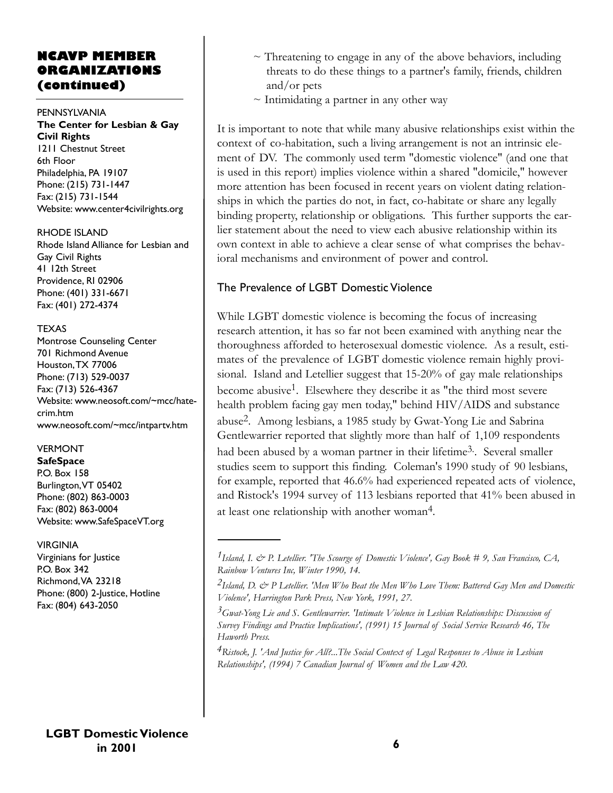# **NCAVP MEMBER ORGANIZATIONS (continued)**

#### PENNSYLVANIA **The Center for Lesbian & Gay Civil Rights** 1211 Chestnut Street 6th Floor Philadelphia, PA 19107

Phone: (215) 731-1447 Fax: (215) 731-1544 Website: www.center4civilrights.org

#### RHODE ISLAND

Rhode Island Alliance for Lesbian and Gay Civil Rights 41 12th Street Providence, RI 02906 Phone: (401) 331-6671 Fax: (401) 272-4374

#### TEXAS

Montrose Counseling Center 701 Richmond Avenue Houston,TX 77006 Phone: (713) 529-0037 Fax: (713) 526-4367 Website: www.neosoft.com/~mcc/hatecrim.htm www.neosoft.com/~mcc/intpartv.htm

### VERMONT

**SafeSpace**

P.O. Box 158 Burlington,VT 05402 Phone: (802) 863-0003 Fax: (802) 863-0004 Website: www.SafeSpaceVT.org

#### VIRGINIA

Virginians for Justice P.O. Box 342 Richmond,VA 23218 Phone: (800) 2-Justice, Hotline Fax: (804) 643-2050

**LGBT Domestic Violence in 2001**

- $\sim$  Threatening to engage in any of the above behaviors, including threats to do these things to a partner's family, friends, children and/or pets
- $\sim$  Intimidating a partner in any other way

It is important to note that while many abusive relationships exist within the context of co-habitation, such a living arrangement is not an intrinsic element of DV. The commonly used term "domestic violence" (and one that is used in this report) implies violence within a shared "domicile," however more attention has been focused in recent years on violent dating relationships in which the parties do not, in fact, co-habitate or share any legally binding property, relationship or obligations. This further supports the earlier statement about the need to view each abusive relationship within its own context in able to achieve a clear sense of what comprises the behavioral mechanisms and environment of power and control.

# The Prevalence of LGBT Domestic Violence

While LGBT domestic violence is becoming the focus of increasing research attention, it has so far not been examined with anything near the thoroughness afforded to heterosexual domestic violence. As a result, estimates of the prevalence of LGBT domestic violence remain highly provisional. Island and Letellier suggest that 15-20% of gay male relationships become abusive<sup>1</sup>. Elsewhere they describe it as "the third most severe health problem facing gay men today," behind HIV/AIDS and substance abuse2. Among lesbians, a 1985 study by Gwat-Yong Lie and Sabrina Gentlewarrier reported that slightly more than half of 1,109 respondents had been abused by a woman partner in their lifetime<sup>3</sup>. Several smaller studies seem to support this finding. Coleman's 1990 study of 90 lesbians, for example, reported that 46.6% had experienced repeated acts of violence, and Ristock's 1994 survey of 113 lesbians reported that 41% been abused in at least one relationship with another woman4.

*4Ristock, J. 'And Justice for All?...The Social Context of Legal Responses to Abuse in Lesbian Relationships', (1994) 7 Canadian Journal of Women and the Law 420.*

*<sup>1</sup>Island, I. & P. Letellier. 'The Scourge of Domestic Violence', Gay Book # 9, San Francisco, CA, Rainbow Ventures Inc, Winter 1990, 14.*

*<sup>2</sup>Island, D. & P Letellier. 'Men Who Beat the Men Who Love Them: Battered Gay Men and Domestic Violence', Harrington Park Press, New York, 1991, 27.*

*<sup>3</sup>Gwat-Yong Lie and S. Gentlewarrier. 'Intimate Violence in Lesbian Relationships: Discussion of Survey Findings and Practice Implications', (1991) 15 Journal of Social Service Research 46, The Haworth Press.*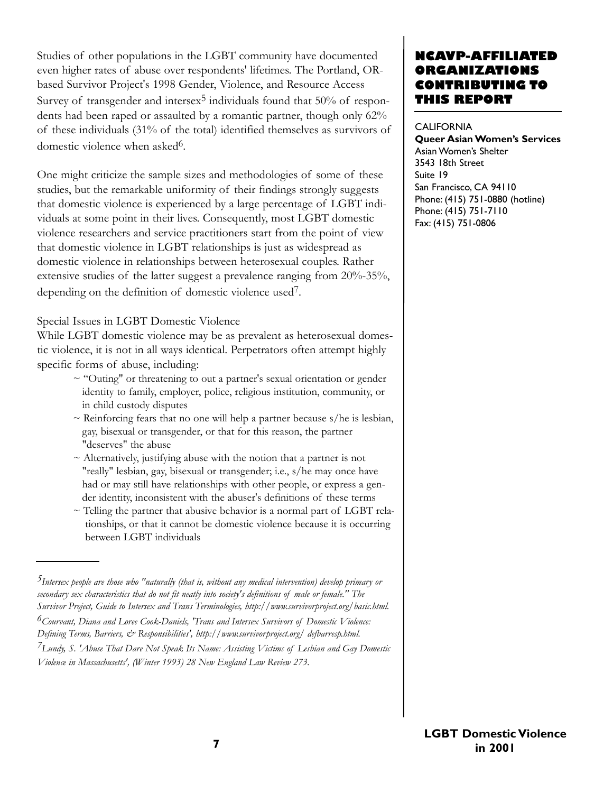Studies of other populations in the LGBT community have documented even higher rates of abuse over respondents' lifetimes. The Portland, ORbased Survivor Project's 1998 Gender, Violence, and Resource Access Survey of transgender and intersex<sup>5</sup> individuals found that  $50\%$  of respondents had been raped or assaulted by a romantic partner, though only 62% of these individuals (31% of the total) identified themselves as survivors of domestic violence when asked<sup>6</sup>.

One might criticize the sample sizes and methodologies of some of these studies, but the remarkable uniformity of their findings strongly suggests that domestic violence is experienced by a large percentage of LGBT individuals at some point in their lives. Consequently, most LGBT domestic violence researchers and service practitioners start from the point of view that domestic violence in LGBT relationships is just as widespread as domestic violence in relationships between heterosexual couples. Rather extensive studies of the latter suggest a prevalence ranging from 20%-35%, depending on the definition of domestic violence used7.

Special Issues in LGBT Domestic Violence

While LGBT domestic violence may be as prevalent as heterosexual domestic violence, it is not in all ways identical. Perpetrators often attempt highly specific forms of abuse, including:

- ~ "Outing" or threatening to out a partner's sexual orientation or gender identity to family, employer, police, religious institution, community, or in child custody disputes
- $\sim$  Reinforcing fears that no one will help a partner because s/he is lesbian, gay, bisexual or transgender, or that for this reason, the partner "deserves" the abuse
- $\sim$  Alternatively, justifying abuse with the notion that a partner is not "really" lesbian, gay, bisexual or transgender; i.e., s/he may once have had or may still have relationships with other people, or express a gender identity, inconsistent with the abuser's definitions of these terms
- $\sim$  Telling the partner that abusive behavior is a normal part of LGBT relationships, or that it cannot be domestic violence because it is occurring between LGBT individuals

# **NCAVP-AFFILIAT ORGANIZATIONS CONTRIBUTING TO THIS REPORT**

#### **CALIFORNIA**

**Queer Asian Women's Services** Asian Women's Shelter 3543 18th Street Suite 19 San Francisco, CA 94110 Phone: (415) 751-0880 (hotline) Phone: (415) 751-7110 Fax: (415) 751-0806

*<sup>5</sup>Intersex people are those who "naturally (that is, without any medical intervention) develop primary or secondary sex characteristics that do not fit neatly into society's definitions of male or female." The Survivor Project, Guide to Intersex and Trans Terminologies, http://www.survivorproject.org/basic.html.*

*<sup>6</sup>Courvant, Diana and Loree Cook-Daniels, 'Trans and Intersex Survivors of Domestic Violence: Defining Terms, Barriers, & Responsibilities', http://www.survivorproject.org/ defbarresp.html.*

*<sup>7</sup>Lundy, S. 'Abuse That Dare Not Speak Its Name: Assisting Victims of Lesbian and Gay Domestic Violence in Massachusetts', (Winter 1993) 28 New England Law Review 273.*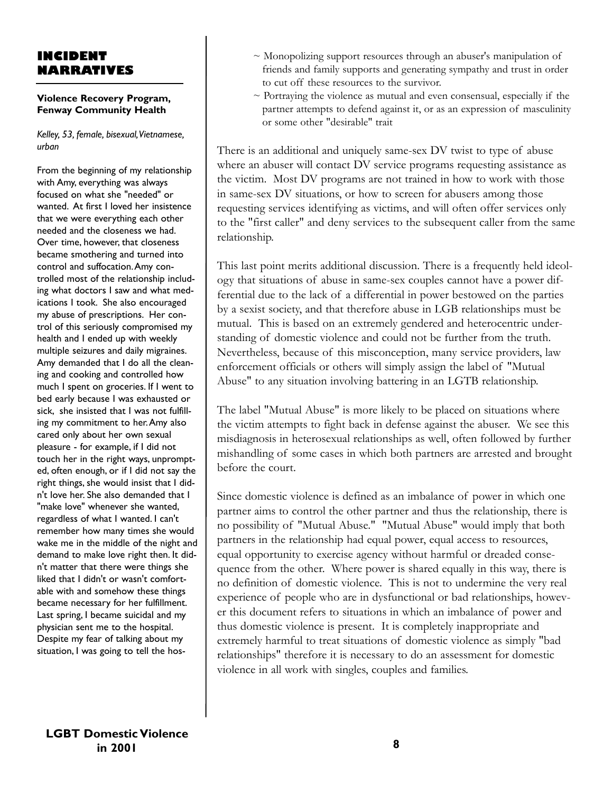# **INCIDENT NARRATIVES**

#### **Violence Recovery Program, Fenway Community Health**

*Kelley, 53, female, bisexual,Vietnamese, urban*

From the beginning of my relationship with Amy, everything was always focused on what she "needed" or wanted. At first I loved her insistence that we were everything each other needed and the closeness we had. Over time, however, that closeness became smothering and turned into control and suffocation.Amy controlled most of the relationship including what doctors I saw and what medications I took. She also encouraged my abuse of prescriptions. Her control of this seriously compromised my health and I ended up with weekly multiple seizures and daily migraines. Amy demanded that I do all the cleaning and cooking and controlled how much I spent on groceries. If I went to bed early because I was exhausted or sick, she insisted that I was not fulfilling my commitment to her.Amy also cared only about her own sexual pleasure - for example, if I did not touch her in the right ways, unprompted, often enough, or if I did not say the right things, she would insist that I didn't love her. She also demanded that I "make love" whenever she wanted, regardless of what I wanted. I can't remember how many times she would wake me in the middle of the night and demand to make love right then. It didn't matter that there were things she liked that I didn't or wasn't comfortable with and somehow these things became necessary for her fulfillment. Last spring, I became suicidal and my physician sent me to the hospital. Despite my fear of talking about my situation, I was going to tell the hos-

- $\sim$  Monopolizing support resources through an abuser's manipulation of friends and family supports and generating sympathy and trust in order to cut off these resources to the survivor.
- $\sim$  Portraying the violence as mutual and even consensual, especially if the partner attempts to defend against it, or as an expression of masculinity or some other "desirable" trait

There is an additional and uniquely same-sex DV twist to type of abuse where an abuser will contact DV service programs requesting assistance as the victim. Most DV programs are not trained in how to work with those in same-sex DV situations, or how to screen for abusers among those requesting services identifying as victims, and will often offer services only to the "first caller" and deny services to the subsequent caller from the same relationship.

This last point merits additional discussion. There is a frequently held ideology that situations of abuse in same-sex couples cannot have a power differential due to the lack of a differential in power bestowed on the parties by a sexist society, and that therefore abuse in LGB relationships must be mutual. This is based on an extremely gendered and heterocentric understanding of domestic violence and could not be further from the truth. Nevertheless, because of this misconception, many service providers, law enforcement officials or others will simply assign the label of "Mutual Abuse" to any situation involving battering in an LGTB relationship.

The label "Mutual Abuse" is more likely to be placed on situations where the victim attempts to fight back in defense against the abuser. We see this misdiagnosis in heterosexual relationships as well, often followed by further mishandling of some cases in which both partners are arrested and brought before the court.

Since domestic violence is defined as an imbalance of power in which one partner aims to control the other partner and thus the relationship, there is no possibility of "Mutual Abuse." "Mutual Abuse" would imply that both partners in the relationship had equal power, equal access to resources, equal opportunity to exercise agency without harmful or dreaded consequence from the other. Where power is shared equally in this way, there is no definition of domestic violence. This is not to undermine the very real experience of people who are in dysfunctional or bad relationships, however this document refers to situations in which an imbalance of power and thus domestic violence is present. It is completely inappropriate and extremely harmful to treat situations of domestic violence as simply "bad relationships" therefore it is necessary to do an assessment for domestic violence in all work with singles, couples and families.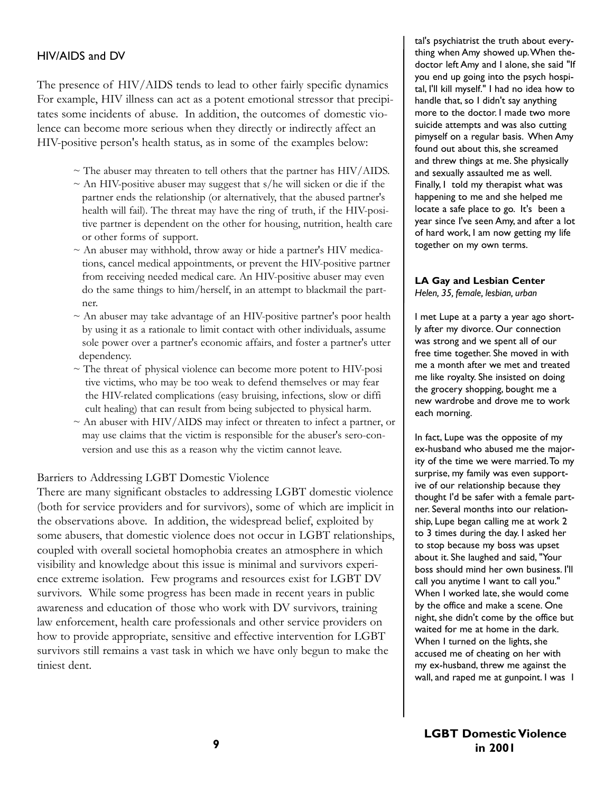### HIV/AIDS and DV

The presence of HIV/AIDS tends to lead to other fairly specific dynamics For example, HIV illness can act as a potent emotional stressor that precipitates some incidents of abuse. In addition, the outcomes of domestic violence can become more serious when they directly or indirectly affect an HIV-positive person's health status, as in some of the examples below:

- $\sim$  The abuser may threaten to tell others that the partner has HIV/AIDS.
- $\sim$  An HIV-positive abuser may suggest that s/he will sicken or die if the partner ends the relationship (or alternatively, that the abused partner's health will fail). The threat may have the ring of truth, if the HIV-positive partner is dependent on the other for housing, nutrition, health care or other forms of support.
- $\sim$  An abuser may withhold, throw away or hide a partner's HIV medications, cancel medical appointments, or prevent the HIV-positive partner from receiving needed medical care. An HIV-positive abuser may even do the same things to him/herself, in an attempt to blackmail the partner.
- $\sim$  An abuser may take advantage of an HIV-positive partner's poor health by using it as a rationale to limit contact with other individuals, assume sole power over a partner's economic affairs, and foster a partner's utter dependency.
- ~ The threat of physical violence can become more potent to HIV-posi tive victims, who may be too weak to defend themselves or may fear the HIV-related complications (easy bruising, infections, slow or diffi cult healing) that can result from being subjected to physical harm.
- ~ An abuser with HIV/AIDS may infect or threaten to infect a partner, or may use claims that the victim is responsible for the abuser's sero-conversion and use this as a reason why the victim cannot leave.

#### Barriers to Addressing LGBT Domestic Violence

There are many significant obstacles to addressing LGBT domestic violence (both for service providers and for survivors), some of which are implicit in the observations above. In addition, the widespread belief, exploited by some abusers, that domestic violence does not occur in LGBT relationships, coupled with overall societal homophobia creates an atmosphere in which visibility and knowledge about this issue is minimal and survivors experience extreme isolation. Few programs and resources exist for LGBT DV survivors. While some progress has been made in recent years in public awareness and education of those who work with DV survivors, training law enforcement, health care professionals and other service providers on how to provide appropriate, sensitive and effective intervention for LGBT survivors still remains a vast task in which we have only begun to make the tiniest dent.

tal's psychiatrist the truth about everything when Amy showed up.When thedoctor left Amy and I alone, she said "If you end up going into the psych hospital, I'll kill myself." I had no idea how to handle that, so I didn't say anything more to the doctor. I made two more suicide attempts and was also cutting pimyself on a regular basis. When Amy found out about this, she screamed and threw things at me. She physically and sexually assaulted me as well. Finally, I told my therapist what was happening to me and she helped me locate a safe place to go. It's been a year since I've seen Amy, and after a lot of hard work, I am now getting my life together on my own terms.

# **LA Gay and Lesbian Center**

*Helen, 35, female, lesbian, urban*

I met Lupe at a party a year ago shortly after my divorce. Our connection was strong and we spent all of our free time together. She moved in with me a month after we met and treated me like royalty. She insisted on doing the grocery shopping, bought me a new wardrobe and drove me to work each morning.

In fact, Lupe was the opposite of my ex-husband who abused me the majority of the time we were married.To my surprise, my family was even supportive of our relationship because they thought I'd be safer with a female partner. Several months into our relationship, Lupe began calling me at work 2 to 3 times during the day. I asked her to stop because my boss was upset about it. She laughed and said, "Your boss should mind her own business. I'll call you anytime I want to call you." When I worked late, she would come by the office and make a scene. One night, she didn't come by the office but waited for me at home in the dark. When I turned on the lights, she accused me of cheating on her with my ex-husband, threw me against the wall, and raped me at gunpoint. I was I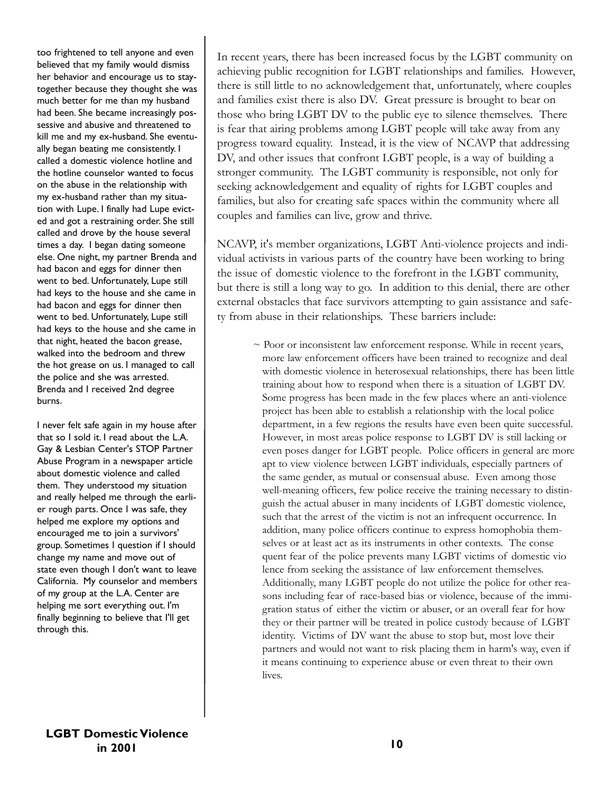too frightened to tell anyone and even believed that my family would dismiss her behavior and encourage us to staytogether because they thought she was much better for me than my husband had been. She became increasingly possessive and abusive and threatened to kill me and my ex-husband. She eventually began beating me consistently. I called a domestic violence hotline and the hotline counselor wanted to focus on the abuse in the relationship with my ex-husband rather than my situation with Lupe. I finally had Lupe evicted and got a restraining order. She still called and drove by the house several times a day. I began dating someone else. One night, my partner Brenda and had bacon and eggs for dinner then went to bed. Unfortunately, Lupe still had keys to the house and she came in had bacon and eggs for dinner then went to bed. Unfortunately, Lupe still had keys to the house and she came in that night, heated the bacon grease, walked into the bedroom and threw the hot grease on us. I managed to call the police and she was arrested. Brenda and I received 2nd degree burns.

I never felt safe again in my house after that so I sold it. I read about the L.A. Gay & Lesbian Center's STOP Partner Abuse Program in a newspaper article about domestic violence and called them. They understood my situation and really helped me through the earlier rough parts. Once I was safe, they helped me explore my options and encouraged me to join a survivors' group. Sometimes I question if I should change my name and move out of state even though I don't want to leave California. My counselor and members of my group at the L.A. Center are helping me sort everything out. I'm finally beginning to believe that I'll get through this.

In recent years, there has been increased focus by the LGBT community on achieving public recognition for LGBT relationships and families. However, there is still little to no acknowledgement that, unfortunately, where couples and families exist there is also DV. Great pressure is brought to bear on those who bring LGBT DV to the public eye to silence themselves. There is fear that airing problems among LGBT people will take away from any progress toward equality. Instead, it is the view of NCAVP that addressing DV, and other issues that confront LGBT people, is a way of building a stronger community. The LGBT community is responsible, not only for seeking acknowledgement and equality of rights for LGBT couples and families, but also for creating safe spaces within the community where all couples and families can live, grow and thrive.

NCAVP, it's member organizations, LGBT Anti-violence projects and individual activists in various parts of the country have been working to bring the issue of domestic violence to the forefront in the LGBT community, but there is still a long way to go. In addition to this denial, there are other external obstacles that face survivors attempting to gain assistance and safety from abuse in their relationships. These barriers include:

 $\sim$  Poor or inconsistent law enforcement response. While in recent years, more law enforcement officers have been trained to recognize and deal with domestic violence in heterosexual relationships, there has been little training about how to respond when there is a situation of LGBT DV. Some progress has been made in the few places where an anti-violence project has been able to establish a relationship with the local police department, in a few regions the results have even been quite successful. However, in most areas police response to LGBT DV is still lacking or even poses danger for LGBT people. Police officers in general are more apt to view violence between LGBT individuals, especially partners of the same gender, as mutual or consensual abuse. Even among those well-meaning officers, few police receive the training necessary to distinguish the actual abuser in many incidents of LGBT domestic violence, such that the arrest of the victim is not an infrequent occurrence. In addition, many police officers continue to express homophobia themselves or at least act as its instruments in other contexts. The conse quent fear of the police prevents many LGBT victims of domestic vio lence from seeking the assistance of law enforcement themselves. Additionally, many LGBT people do not utilize the police for other reasons including fear of race-based bias or violence, because of the immigration status of either the victim or abuser, or an overall fear for how they or their partner will be treated in police custody because of LGBT identity. Victims of DV want the abuse to stop but, most love their partners and would not want to risk placing them in harm's way, even if it means continuing to experience abuse or even threat to their own lives.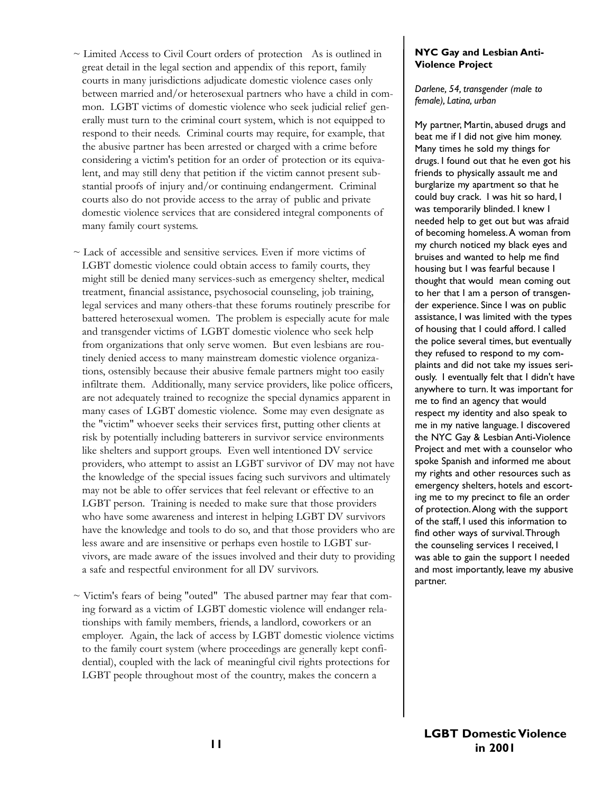- ~ Limited Access to Civil Court orders of protection As is outlined in great detail in the legal section and appendix of this report, family courts in many jurisdictions adjudicate domestic violence cases only between married and/or heterosexual partners who have a child in common. LGBT victims of domestic violence who seek judicial relief generally must turn to the criminal court system, which is not equipped to respond to their needs. Criminal courts may require, for example, that the abusive partner has been arrested or charged with a crime before considering a victim's petition for an order of protection or its equivalent, and may still deny that petition if the victim cannot present substantial proofs of injury and/or continuing endangerment. Criminal courts also do not provide access to the array of public and private domestic violence services that are considered integral components of many family court systems.
- $\sim$  Lack of accessible and sensitive services. Even if more victims of LGBT domestic violence could obtain access to family courts, they might still be denied many services-such as emergency shelter, medical treatment, financial assistance, psychosocial counseling, job training, legal services and many others-that these forums routinely prescribe for battered heterosexual women. The problem is especially acute for male and transgender victims of LGBT domestic violence who seek help from organizations that only serve women. But even lesbians are routinely denied access to many mainstream domestic violence organizations, ostensibly because their abusive female partners might too easily infiltrate them. Additionally, many service providers, like police officers, are not adequately trained to recognize the special dynamics apparent in many cases of LGBT domestic violence. Some may even designate as the "victim" whoever seeks their services first, putting other clients at risk by potentially including batterers in survivor service environments like shelters and support groups. Even well intentioned DV service providers, who attempt to assist an LGBT survivor of DV may not have the knowledge of the special issues facing such survivors and ultimately may not be able to offer services that feel relevant or effective to an LGBT person. Training is needed to make sure that those providers who have some awareness and interest in helping LGBT DV survivors have the knowledge and tools to do so, and that those providers who are less aware and are insensitive or perhaps even hostile to LGBT survivors, are made aware of the issues involved and their duty to providing a safe and respectful environment for all DV survivors.
- $\sim$  Victim's fears of being "outed" The abused partner may fear that coming forward as a victim of LGBT domestic violence will endanger relationships with family members, friends, a landlord, coworkers or an employer. Again, the lack of access by LGBT domestic violence victims to the family court system (where proceedings are generally kept confidential), coupled with the lack of meaningful civil rights protections for LGBT people throughout most of the country, makes the concern a

#### **NYC Gay and Lesbian Anti-Violence Project**

*Darlene, 54, transgender (male to female), Latina, urban*

My partner, Martin, abused drugs and beat me if I did not give him money. Many times he sold my things for drugs. I found out that he even got his friends to physically assault me and burglarize my apartment so that he could buy crack. I was hit so hard, I was temporarily blinded. I knew I needed help to get out but was afraid of becoming homeless.A woman from my church noticed my black eyes and bruises and wanted to help me find housing but I was fearful because I thought that would mean coming out to her that I am a person of transgender experience. Since I was on public assistance, I was limited with the types of housing that I could afford. I called the police several times, but eventually they refused to respond to my complaints and did not take my issues seriously. I eventually felt that I didn't have anywhere to turn. It was important for me to find an agency that would respect my identity and also speak to me in my native language. I discovered the NYC Gay & Lesbian Anti-Violence Project and met with a counselor who spoke Spanish and informed me about my rights and other resources such as emergency shelters, hotels and escorting me to my precinct to file an order of protection.Along with the support of the staff, I used this information to find other ways of survival.Through the counseling services I received, I was able to gain the support I needed and most importantly, leave my abusive partner.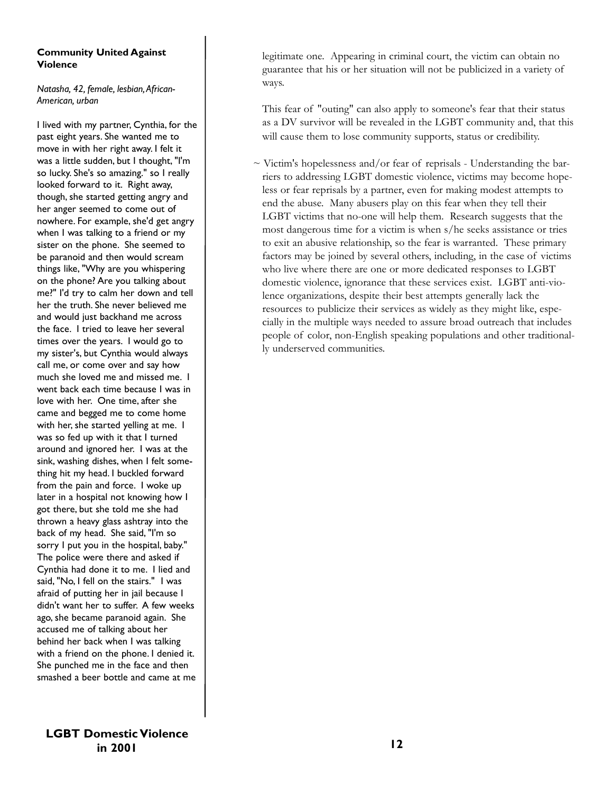#### **Community United Against Violence**

*Natasha, 42, female, lesbian,African-American, urban*

I lived with my partner, Cynthia, for the past eight years. She wanted me to move in with her right away. I felt it was a little sudden, but I thought, "I'm so lucky. She's so amazing." so I really looked forward to it. Right away, though, she started getting angry and her anger seemed to come out of nowhere. For example, she'd get angry when I was talking to a friend or my sister on the phone. She seemed to be paranoid and then would scream things like, "Why are you whispering on the phone? Are you talking about me?" I'd try to calm her down and tell her the truth. She never believed me and would just backhand me across the face. I tried to leave her several times over the years. I would go to my sister's, but Cynthia would always call me, or come over and say how much she loved me and missed me. I went back each time because I was in love with her. One time, after she came and begged me to come home with her, she started yelling at me. I was so fed up with it that I turned around and ignored her. I was at the sink, washing dishes, when I felt something hit my head. I buckled forward from the pain and force. I woke up later in a hospital not knowing how I got there, but she told me she had thrown a heavy glass ashtray into the back of my head. She said, "I'm so sorry I put you in the hospital, baby." The police were there and asked if Cynthia had done it to me. I lied and said, "No, I fell on the stairs." I was afraid of putting her in jail because I didn't want her to suffer. A few weeks ago, she became paranoid again. She accused me of talking about her behind her back when I was talking with a friend on the phone. I denied it. She punched me in the face and then smashed a beer bottle and came at me

legitimate one. Appearing in criminal court, the victim can obtain no guarantee that his or her situation will not be publicized in a variety of ways.

This fear of "outing" can also apply to someone's fear that their status as a DV survivor will be revealed in the LGBT community and, that this will cause them to lose community supports, status or credibility.

 $\sim$  Victim's hopelessness and/or fear of reprisals - Understanding the barriers to addressing LGBT domestic violence, victims may become hopeless or fear reprisals by a partner, even for making modest attempts to end the abuse. Many abusers play on this fear when they tell their LGBT victims that no-one will help them. Research suggests that the most dangerous time for a victim is when s/he seeks assistance or tries to exit an abusive relationship, so the fear is warranted. These primary factors may be joined by several others, including, in the case of victims who live where there are one or more dedicated responses to LGBT domestic violence, ignorance that these services exist. LGBT anti-violence organizations, despite their best attempts generally lack the resources to publicize their services as widely as they might like, especially in the multiple ways needed to assure broad outreach that includes people of color, non-English speaking populations and other traditionally underserved communities.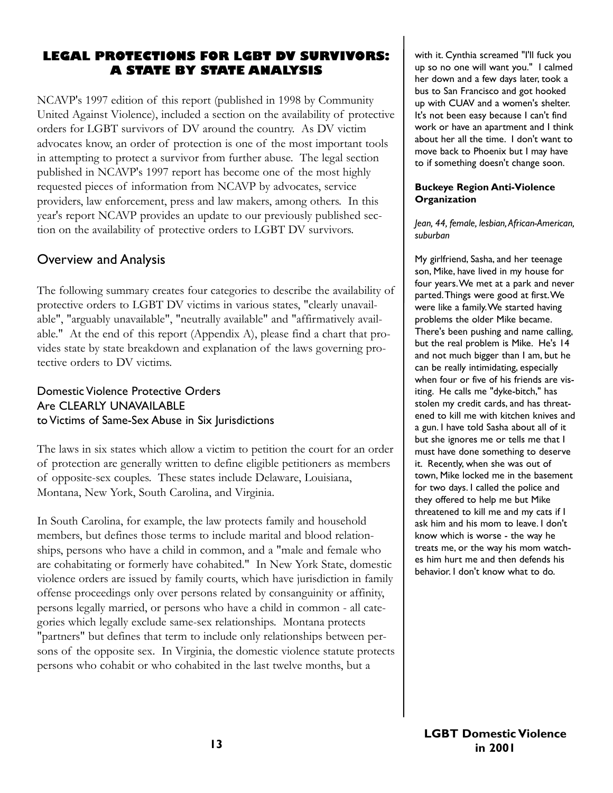# **LEGAL PROTECTIONS FOR LGBT DV SURVIVORS: A STATE BY STATE ANALYSIS**

NCAVP's 1997 edition of this report (published in 1998 by Community United Against Violence), included a section on the availability of protective orders for LGBT survivors of DV around the country. As DV victim advocates know, an order of protection is one of the most important tools in attempting to protect a survivor from further abuse. The legal section published in NCAVP's 1997 report has become one of the most highly requested pieces of information from NCAVP by advocates, service providers, law enforcement, press and law makers, among others. In this year's report NCAVP provides an update to our previously published section on the availability of protective orders to LGBT DV survivors.

# Overview and Analysis

The following summary creates four categories to describe the availability of protective orders to LGBT DV victims in various states, "clearly unavailable", "arguably unavailable", "neutrally available" and "affirmatively available." At the end of this report (Appendix A), please find a chart that provides state by state breakdown and explanation of the laws governing protective orders to DV victims.

# Domestic Violence Protective Orders Are CLEARLY UNAVAILABLE to Victims of Same-Sex Abuse in Six Jurisdictions

The laws in six states which allow a victim to petition the court for an order of protection are generally written to define eligible petitioners as members of opposite-sex couples. These states include Delaware, Louisiana, Montana, New York, South Carolina, and Virginia.

In South Carolina, for example, the law protects family and household members, but defines those terms to include marital and blood relationships, persons who have a child in common, and a "male and female who are cohabitating or formerly have cohabited." In New York State, domestic violence orders are issued by family courts, which have jurisdiction in family offense proceedings only over persons related by consanguinity or affinity, persons legally married, or persons who have a child in common - all categories which legally exclude same-sex relationships. Montana protects "partners" but defines that term to include only relationships between persons of the opposite sex. In Virginia, the domestic violence statute protects persons who cohabit or who cohabited in the last twelve months, but a

with it. Cynthia screamed "I'll fuck you up so no one will want you." I calmed her down and a few days later, took a bus to San Francisco and got hooked up with CUAV and a women's shelter. It's not been easy because I can't find work or have an apartment and I think about her all the time. I don't want to move back to Phoenix but I may have to if something doesn't change soon.

#### **Buckeye Region Anti-Violence Organization**

#### *Jean, 44, female, lesbian,African-American, suburban*

My girlfriend, Sasha, and her teenage son, Mike, have lived in my house for four years.We met at a park and never parted.Things were good at first.We were like a family.We started having problems the older Mike became. There's been pushing and name calling, but the real problem is Mike. He's 14 and not much bigger than I am, but he can be really intimidating, especially when four or five of his friends are visiting. He calls me "dyke-bitch," has stolen my credit cards, and has threatened to kill me with kitchen knives and a gun. I have told Sasha about all of it but she ignores me or tells me that I must have done something to deserve it. Recently, when she was out of town, Mike locked me in the basement for two days. I called the police and they offered to help me but Mike threatened to kill me and my cats if I ask him and his mom to leave. I don't know which is worse - the way he treats me, or the way his mom watches him hurt me and then defends his behavior. I don't know what to do.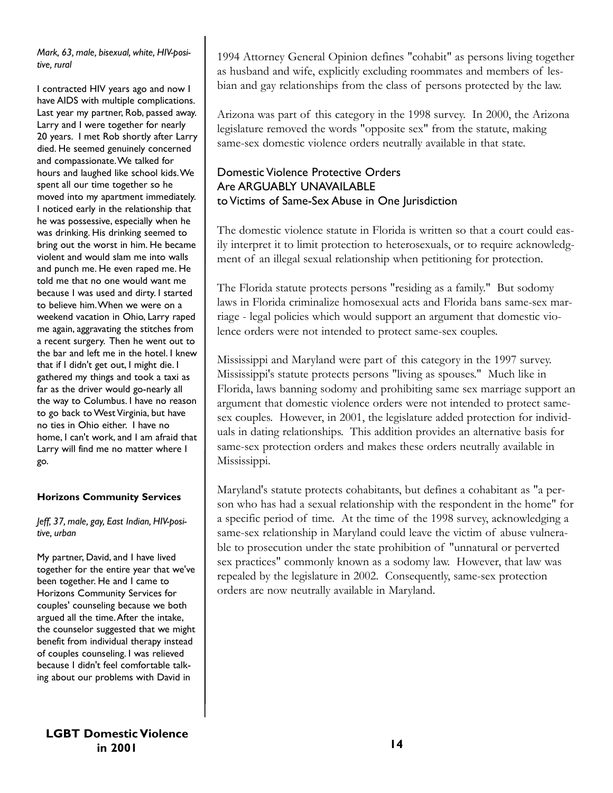*Mark, 63, male, bisexual, white, HIV-positive, rural*

I contracted HIV years ago and now I have AIDS with multiple complications. Last year my partner, Rob, passed away. Larry and I were together for nearly 20 years. I met Rob shortly after Larry died. He seemed genuinely concerned and compassionate.We talked for hours and laughed like school kids.We spent all our time together so he moved into my apartment immediately. I noticed early in the relationship that he was possessive, especially when he was drinking. His drinking seemed to bring out the worst in him. He became violent and would slam me into walls and punch me. He even raped me. He told me that no one would want me because I was used and dirty. I started to believe him.When we were on a weekend vacation in Ohio, Larry raped me again, aggravating the stitches from a recent surgery. Then he went out to the bar and left me in the hotel. I knew that if I didn't get out, I might die. I gathered my things and took a taxi as far as the driver would go-nearly all the way to Columbus. I have no reason to go back to West Virginia, but have no ties in Ohio either. I have no home, I can't work, and I am afraid that Larry will find me no matter where I go.

#### **Horizons Community Services**

#### *Jeff, 37, male, gay, East Indian, HIV-positive, urban*

My partner, David, and I have lived together for the entire year that we've been together. He and I came to Horizons Community Services for couples' counseling because we both argued all the time.After the intake, the counselor suggested that we might benefit from individual therapy instead of couples counseling. I was relieved because I didn't feel comfortable talking about our problems with David in

1994 Attorney General Opinion defines "cohabit" as persons living together as husband and wife, explicitly excluding roommates and members of lesbian and gay relationships from the class of persons protected by the law.

Arizona was part of this category in the 1998 survey. In 2000, the Arizona legislature removed the words "opposite sex" from the statute, making same-sex domestic violence orders neutrally available in that state.

# Domestic Violence Protective Orders Are ARGUABLY UNAVAILABLE to Victims of Same-Sex Abuse in One Jurisdiction

The domestic violence statute in Florida is written so that a court could easily interpret it to limit protection to heterosexuals, or to require acknowledgment of an illegal sexual relationship when petitioning for protection.

The Florida statute protects persons "residing as a family." But sodomy laws in Florida criminalize homosexual acts and Florida bans same-sex marriage - legal policies which would support an argument that domestic violence orders were not intended to protect same-sex couples.

Mississippi and Maryland were part of this category in the 1997 survey. Mississippi's statute protects persons "living as spouses." Much like in Florida, laws banning sodomy and prohibiting same sex marriage support an argument that domestic violence orders were not intended to protect samesex couples. However, in 2001, the legislature added protection for individuals in dating relationships. This addition provides an alternative basis for same-sex protection orders and makes these orders neutrally available in Mississippi.

Maryland's statute protects cohabitants, but defines a cohabitant as "a person who has had a sexual relationship with the respondent in the home" for a specific period of time. At the time of the 1998 survey, acknowledging a same-sex relationship in Maryland could leave the victim of abuse vulnerable to prosecution under the state prohibition of "unnatural or perverted sex practices" commonly known as a sodomy law. However, that law was repealed by the legislature in 2002. Consequently, same-sex protection orders are now neutrally available in Maryland.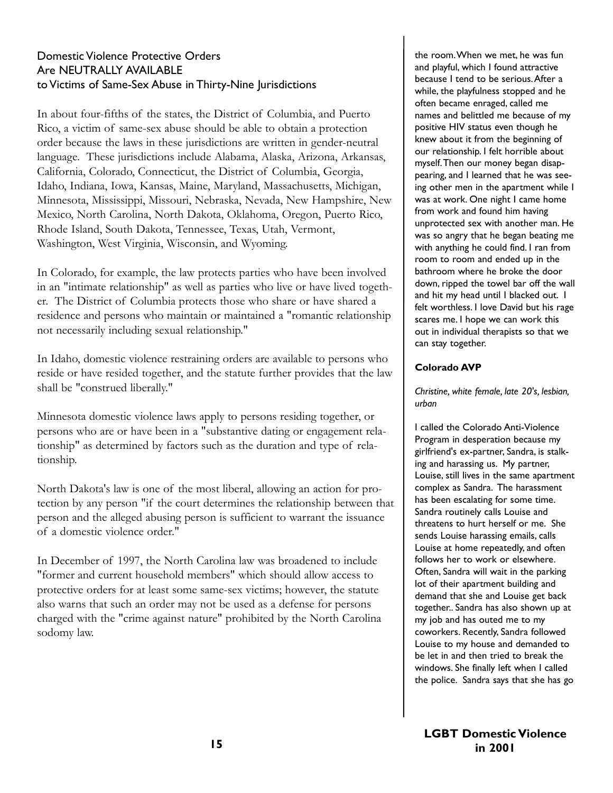## Domestic Violence Protective Orders Are NEUTRALLY AVAILABLE to Victims of Same-Sex Abuse in Thirty-Nine Jurisdictions

In about four-fifths of the states, the District of Columbia, and Puerto Rico, a victim of same-sex abuse should be able to obtain a protection order because the laws in these jurisdictions are written in gender-neutral language. These jurisdictions include Alabama, Alaska, Arizona, Arkansas, California, Colorado, Connecticut, the District of Columbia, Georgia, Idaho, Indiana, Iowa, Kansas, Maine, Maryland, Massachusetts, Michigan, Minnesota, Mississippi, Missouri, Nebraska, Nevada, New Hampshire, New Mexico, North Carolina, North Dakota, Oklahoma, Oregon, Puerto Rico, Rhode Island, South Dakota, Tennessee, Texas, Utah, Vermont, Washington, West Virginia, Wisconsin, and Wyoming.

In Colorado, for example, the law protects parties who have been involved in an "intimate relationship" as well as parties who live or have lived together. The District of Columbia protects those who share or have shared a residence and persons who maintain or maintained a "romantic relationship not necessarily including sexual relationship."

In Idaho, domestic violence restraining orders are available to persons who reside or have resided together, and the statute further provides that the law shall be "construed liberally."

Minnesota domestic violence laws apply to persons residing together, or persons who are or have been in a "substantive dating or engagement relationship" as determined by factors such as the duration and type of relationship.

North Dakota's law is one of the most liberal, allowing an action for protection by any person "if the court determines the relationship between that person and the alleged abusing person is sufficient to warrant the issuance of a domestic violence order."

In December of 1997, the North Carolina law was broadened to include "former and current household members" which should allow access to protective orders for at least some same-sex victims; however, the statute also warns that such an order may not be used as a defense for persons charged with the "crime against nature" prohibited by the North Carolina sodomy law.

the room.When we met, he was fun and playful, which I found attractive because I tend to be serious.After a while, the playfulness stopped and he often became enraged, called me names and belittled me because of my positive HIV status even though he knew about it from the beginning of our relationship. I felt horrible about myself.Then our money began disappearing, and I learned that he was seeing other men in the apartment while I was at work. One night I came home from work and found him having unprotected sex with another man. He was so angry that he began beating me with anything he could find. I ran from room to room and ended up in the bathroom where he broke the door down, ripped the towel bar off the wall and hit my head until I blacked out. I felt worthless. I love David but his rage scares me. I hope we can work this out in individual therapists so that we can stay together.

#### **Colorado AVP**

*Christine, white female, late 20's, lesbian, urban*

I called the Colorado Anti-Violence Program in desperation because my girlfriend's ex-partner, Sandra, is stalking and harassing us. My partner, Louise, still lives in the same apartment complex as Sandra. The harassment has been escalating for some time. Sandra routinely calls Louise and threatens to hurt herself or me. She sends Louise harassing emails, calls Louise at home repeatedly, and often follows her to work or elsewhere. Often, Sandra will wait in the parking lot of their apartment building and demand that she and Louise get back together.. Sandra has also shown up at my job and has outed me to my coworkers. Recently, Sandra followed Louise to my house and demanded to be let in and then tried to break the windows. She finally left when I called the police. Sandra says that she has go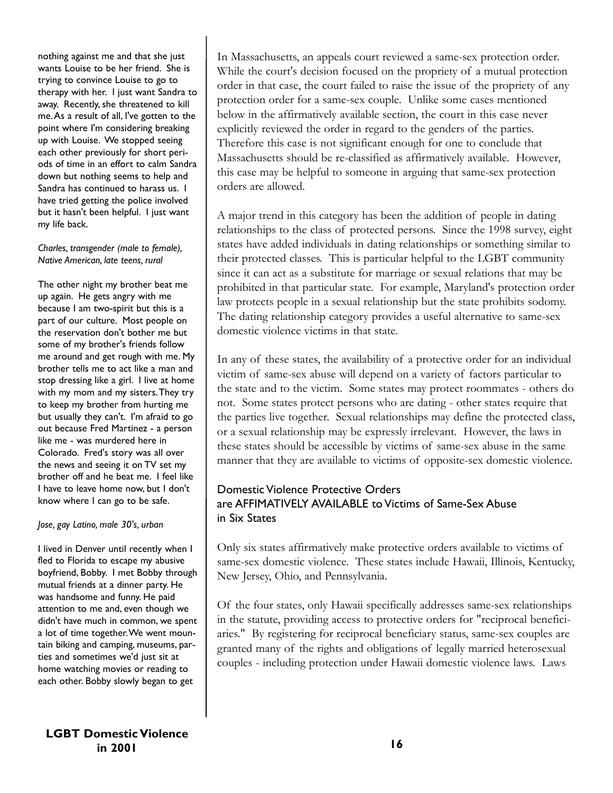nothing against me and that she just wants Louise to be her friend. She is trying to convince Louise to go to therapy with her. I just want Sandra to away. Recently, she threatened to kill me.As a result of all, I've gotten to the point where I'm considering breaking up with Louise. We stopped seeing each other previously for short periods of time in an effort to calm Sandra down but nothing seems to help and Sandra has continued to harass us. I have tried getting the police involved but it hasn't been helpful. I just want my life back.

#### *Charles, transgender (male to female), Native American, late teens, rural*

The other night my brother beat me up again. He gets angry with me because I am two-spirit but this is a part of our culture. Most people on the reservation don't bother me but some of my brother's friends follow me around and get rough with me. My brother tells me to act like a man and stop dressing like a girl. I live at home with my mom and my sisters.They try to keep my brother from hurting me but usually they can't. I'm afraid to go out because Fred Martinez - a person like me - was murdered here in Colorado. Fred's story was all over the news and seeing it on TV set my brother off and he beat me. I feel like I have to leave home now, but I don't know where I can go to be safe.

#### *Jose, gay Latino, male 30's, urban*

I lived in Denver until recently when I fled to Florida to escape my abusive boyfriend, Bobby. I met Bobby through mutual friends at a dinner party. He was handsome and funny. He paid attention to me and, even though we didn't have much in common, we spent a lot of time together.We went mountain biking and camping, museums, parties and sometimes we'd just sit at home watching movies or reading to each other. Bobby slowly began to get

In Massachusetts, an appeals court reviewed a same-sex protection order. While the court's decision focused on the propriety of a mutual protection order in that case, the court failed to raise the issue of the propriety of any protection order for a same-sex couple. Unlike some cases mentioned below in the affirmatively available section, the court in this case never explicitly reviewed the order in regard to the genders of the parties. Therefore this case is not significant enough for one to conclude that Massachusetts should be re-classified as affirmatively available. However, this case may be helpful to someone in arguing that same-sex protection orders are allowed.

A major trend in this category has been the addition of people in dating relationships to the class of protected persons. Since the 1998 survey, eight states have added individuals in dating relationships or something similar to their protected classes. This is particular helpful to the LGBT community since it can act as a substitute for marriage or sexual relations that may be prohibited in that particular state. For example, Maryland's protection order law protects people in a sexual relationship but the state prohibits sodomy. The dating relationship category provides a useful alternative to same-sex domestic violence victims in that state.

In any of these states, the availability of a protective order for an individual victim of same-sex abuse will depend on a variety of factors particular to the state and to the victim. Some states may protect roommates - others do not. Some states protect persons who are dating - other states require that the parties live together. Sexual relationships may define the protected class, or a sexual relationship may be expressly irrelevant. However, the laws in these states should be accessible by victims of same-sex abuse in the same manner that they are available to victims of opposite-sex domestic violence.

## Domestic Violence Protective Orders are AFFIMATIVELY AVAILABLE to Victims of Same-Sex Abuse in Six States

Only six states affirmatively make protective orders available to victims of same-sex domestic violence. These states include Hawaii, Illinois, Kentucky, New Jersey, Ohio, and Pennsylvania.

Of the four states, only Hawaii specifically addresses same-sex relationships in the statute, providing access to protective orders for "reciprocal beneficiaries." By registering for reciprocal beneficiary status, same-sex couples are granted many of the rights and obligations of legally married heterosexual couples - including protection under Hawaii domestic violence laws. Laws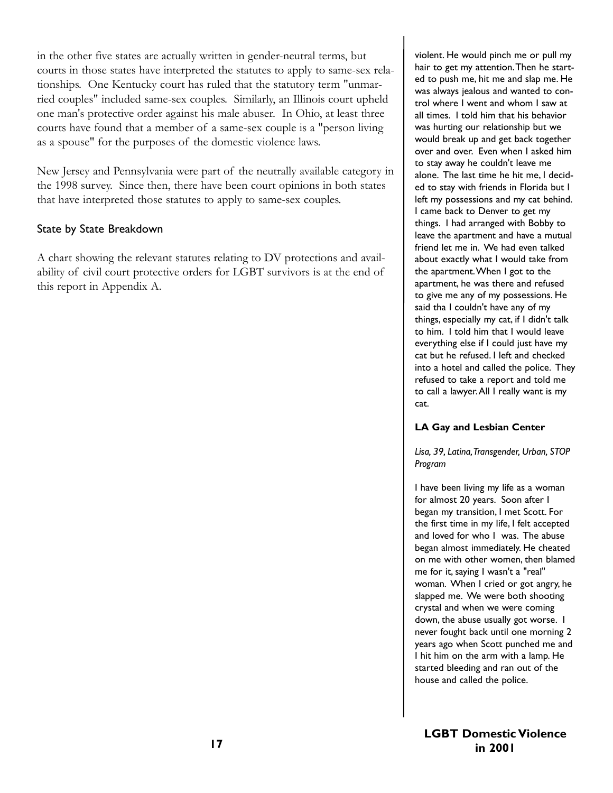in the other five states are actually written in gender-neutral terms, but courts in those states have interpreted the statutes to apply to same-sex relationships. One Kentucky court has ruled that the statutory term "unmarried couples" included same-sex couples. Similarly, an Illinois court upheld one man's protective order against his male abuser. In Ohio, at least three courts have found that a member of a same-sex couple is a "person living as a spouse" for the purposes of the domestic violence laws.

New Jersey and Pennsylvania were part of the neutrally available category in the 1998 survey. Since then, there have been court opinions in both states that have interpreted those statutes to apply to same-sex couples.

### State by State Breakdown

A chart showing the relevant statutes relating to DV protections and availability of civil court protective orders for LGBT survivors is at the end of this report in Appendix A.

violent. He would pinch me or pull my hair to get my attention.Then he started to push me, hit me and slap me. He was always jealous and wanted to control where I went and whom I saw at all times. I told him that his behavior was hurting our relationship but we would break up and get back together over and over. Even when I asked him to stay away he couldn't leave me alone. The last time he hit me, I decided to stay with friends in Florida but I left my possessions and my cat behind. I came back to Denver to get my things. I had arranged with Bobby to leave the apartment and have a mutual friend let me in. We had even talked about exactly what I would take from the apartment.When I got to the apartment, he was there and refused to give me any of my possessions. He said tha I couldn't have any of my things, especially my cat, if I didn't talk to him. I told him that I would leave everything else if I could just have my cat but he refused. I left and checked into a hotel and called the police. They refused to take a report and told me to call a lawyer.All I really want is my cat.

#### **LA Gay and Lesbian Center**

*Lisa, 39, Latina,Transgender, Urban, STOP Program*

I have been living my life as a woman for almost 20 years. Soon after I began my transition, I met Scott. For the first time in my life, I felt accepted and loved for who I was. The abuse began almost immediately. He cheated on me with other women, then blamed me for it, saying I wasn't a "real" woman. When I cried or got angry, he slapped me. We were both shooting crystal and when we were coming down, the abuse usually got worse. I never fought back until one morning 2 years ago when Scott punched me and I hit him on the arm with a lamp. He started bleeding and ran out of the house and called the police.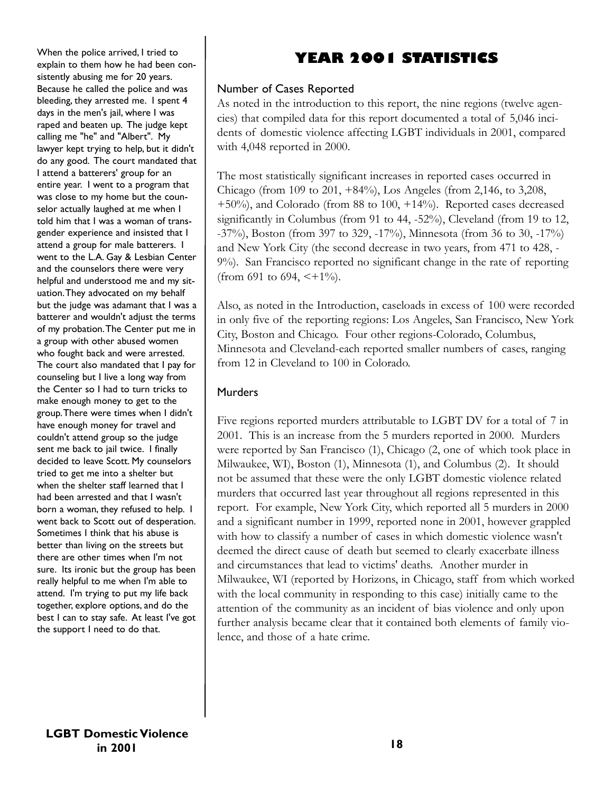When the police arrived, I tried to explain to them how he had been consistently abusing me for 20 years. Because he called the police and was bleeding, they arrested me. I spent 4 days in the men's jail, where I was raped and beaten up. The judge kept calling me "he" and "Albert". My lawyer kept trying to help, but it didn't do any good. The court mandated that I attend a batterers' group for an entire year. I went to a program that was close to my home but the counselor actually laughed at me when I told him that I was a woman of transgender experience and insisted that I attend a group for male batterers. I went to the L.A. Gay & Lesbian Center and the counselors there were very helpful and understood me and my situation.They advocated on my behalf but the judge was adamant that I was a batterer and wouldn't adjust the terms of my probation.The Center put me in a group with other abused women who fought back and were arrested. The court also mandated that I pay for counseling but I live a long way from the Center so I had to turn tricks to make enough money to get to the group.There were times when I didn't have enough money for travel and couldn't attend group so the judge sent me back to jail twice. I finally decided to leave Scott. My counselors tried to get me into a shelter but when the shelter staff learned that I had been arrested and that I wasn't born a woman, they refused to help. I went back to Scott out of desperation. Sometimes I think that his abuse is better than living on the streets but there are other times when I'm not sure. Its ironic but the group has been really helpful to me when I'm able to attend. I'm trying to put my life back together, explore options, and do the best I can to stay safe. At least I've got the support I need to do that.

# **YEAR 2001 STATISTICS**

### Number of Cases Reported

As noted in the introduction to this report, the nine regions (twelve agencies) that compiled data for this report documented a total of 5,046 incidents of domestic violence affecting LGBT individuals in 2001, compared with 4,048 reported in 2000.

The most statistically significant increases in reported cases occurred in Chicago (from 109 to 201, +84%), Los Angeles (from 2,146, to 3,208, +50%), and Colorado (from 88 to 100, +14%). Reported cases decreased significantly in Columbus (from 91 to 44, -52%), Cleveland (from 19 to 12, -37%), Boston (from 397 to 329, -17%), Minnesota (from 36 to 30, -17%) and New York City (the second decrease in two years, from 471 to 428, - 9%). San Francisco reported no significant change in the rate of reporting (from 691 to 694,  $\lt+1\%$ ).

Also, as noted in the Introduction, caseloads in excess of 100 were recorded in only five of the reporting regions: Los Angeles, San Francisco, New York City, Boston and Chicago. Four other regions-Colorado, Columbus, Minnesota and Cleveland-each reported smaller numbers of cases, ranging from 12 in Cleveland to 100 in Colorado.

## Murders

Five regions reported murders attributable to LGBT DV for a total of 7 in 2001. This is an increase from the 5 murders reported in 2000. Murders were reported by San Francisco (1), Chicago (2, one of which took place in Milwaukee, WI), Boston (1), Minnesota (1), and Columbus (2). It should not be assumed that these were the only LGBT domestic violence related murders that occurred last year throughout all regions represented in this report. For example, New York City, which reported all 5 murders in 2000 and a significant number in 1999, reported none in 2001, however grappled with how to classify a number of cases in which domestic violence wasn't deemed the direct cause of death but seemed to clearly exacerbate illness and circumstances that lead to victims' deaths. Another murder in Milwaukee, WI (reported by Horizons, in Chicago, staff from which worked with the local community in responding to this case) initially came to the attention of the community as an incident of bias violence and only upon further analysis became clear that it contained both elements of family violence, and those of a hate crime.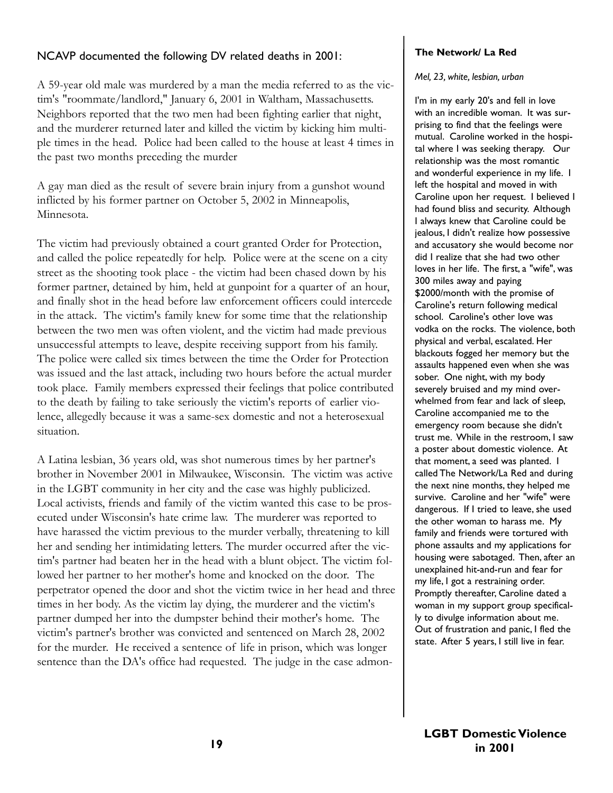### NCAVP documented the following DV related deaths in 2001:

A 59-year old male was murdered by a man the media referred to as the victim's "roommate/landlord," January 6, 2001 in Waltham, Massachusetts. Neighbors reported that the two men had been fighting earlier that night, and the murderer returned later and killed the victim by kicking him multiple times in the head. Police had been called to the house at least 4 times in the past two months preceding the murder

A gay man died as the result of severe brain injury from a gunshot wound inflicted by his former partner on October 5, 2002 in Minneapolis, Minnesota.

The victim had previously obtained a court granted Order for Protection, and called the police repeatedly for help. Police were at the scene on a city street as the shooting took place - the victim had been chased down by his former partner, detained by him, held at gunpoint for a quarter of an hour, and finally shot in the head before law enforcement officers could intercede in the attack. The victim's family knew for some time that the relationship between the two men was often violent, and the victim had made previous unsuccessful attempts to leave, despite receiving support from his family. The police were called six times between the time the Order for Protection was issued and the last attack, including two hours before the actual murder took place. Family members expressed their feelings that police contributed to the death by failing to take seriously the victim's reports of earlier violence, allegedly because it was a same-sex domestic and not a heterosexual situation.

A Latina lesbian, 36 years old, was shot numerous times by her partner's brother in November 2001 in Milwaukee, Wisconsin. The victim was active in the LGBT community in her city and the case was highly publicized. Local activists, friends and family of the victim wanted this case to be prosecuted under Wisconsin's hate crime law. The murderer was reported to have harassed the victim previous to the murder verbally, threatening to kill her and sending her intimidating letters. The murder occurred after the victim's partner had beaten her in the head with a blunt object. The victim followed her partner to her mother's home and knocked on the door. The perpetrator opened the door and shot the victim twice in her head and three times in her body. As the victim lay dying, the murderer and the victim's partner dumped her into the dumpster behind their mother's home. The victim's partner's brother was convicted and sentenced on March 28, 2002 for the murder. He received a sentence of life in prison, which was longer sentence than the DA's office had requested. The judge in the case admon-

### **The Network/ La Red**

#### *Mel, 23, white, lesbian, urban*

I'm in my early 20's and fell in love with an incredible woman. It was surprising to find that the feelings were mutual. Caroline worked in the hospital where I was seeking therapy. Our relationship was the most romantic and wonderful experience in my life. I left the hospital and moved in with Caroline upon her request. I believed I had found bliss and security. Although I always knew that Caroline could be jealous, I didn't realize how possessive and accusatory she would become nor did I realize that she had two other loves in her life. The first, a "wife", was 300 miles away and paying \$2000/month with the promise of Caroline's return following medical school. Caroline's other love was vodka on the rocks. The violence, both physical and verbal, escalated. Her blackouts fogged her memory but the assaults happened even when she was sober. One night, with my body severely bruised and my mind overwhelmed from fear and lack of sleep, Caroline accompanied me to the emergency room because she didn't trust me. While in the restroom, I saw a poster about domestic violence. At that moment, a seed was planted. I called The Network/La Red and during the next nine months, they helped me survive. Caroline and her "wife" were dangerous. If I tried to leave, she used the other woman to harass me. My family and friends were tortured with phone assaults and my applications for housing were sabotaged. Then, after an unexplained hit-and-run and fear for my life, I got a restraining order. Promptly thereafter, Caroline dated a woman in my support group specifically to divulge information about me. Out of frustration and panic, I fled the state. After 5 years, I still live in fear.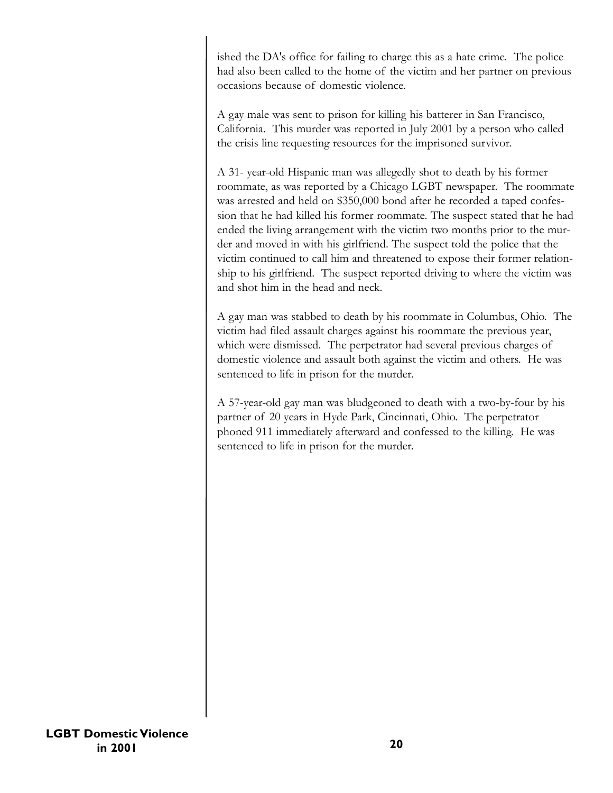ished the DA's office for failing to charge this as a hate crime. The police had also been called to the home of the victim and her partner on previous occasions because of domestic violence.

A gay male was sent to prison for killing his batterer in San Francisco, California. This murder was reported in July 2001 by a person who called the crisis line requesting resources for the imprisoned survivor.

A 31- year-old Hispanic man was allegedly shot to death by his former roommate, as was reported by a Chicago LGBT newspaper. The roommate was arrested and held on \$350,000 bond after he recorded a taped confession that he had killed his former roommate. The suspect stated that he had ended the living arrangement with the victim two months prior to the murder and moved in with his girlfriend. The suspect told the police that the victim continued to call him and threatened to expose their former relationship to his girlfriend. The suspect reported driving to where the victim was and shot him in the head and neck.

A gay man was stabbed to death by his roommate in Columbus, Ohio. The victim had filed assault charges against his roommate the previous year, which were dismissed. The perpetrator had several previous charges of domestic violence and assault both against the victim and others. He was sentenced to life in prison for the murder.

A 57-year-old gay man was bludgeoned to death with a two-by-four by his partner of 20 years in Hyde Park, Cincinnati, Ohio. The perpetrator phoned 911 immediately afterward and confessed to the killing. He was sentenced to life in prison for the murder.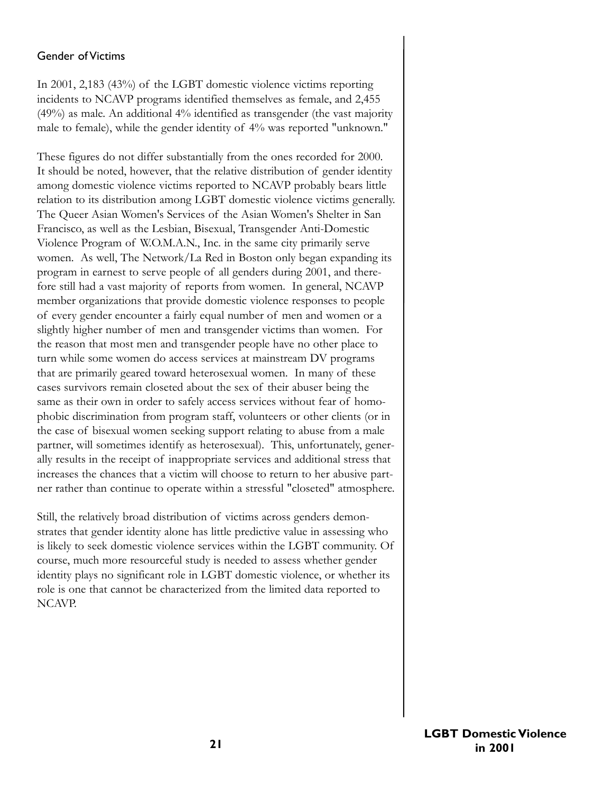### Gender of Victims

In 2001, 2,183 (43%) of the LGBT domestic violence victims reporting incidents to NCAVP programs identified themselves as female, and 2,455 (49%) as male. An additional 4% identified as transgender (the vast majority male to female), while the gender identity of 4% was reported "unknown."

These figures do not differ substantially from the ones recorded for 2000. It should be noted, however, that the relative distribution of gender identity among domestic violence victims reported to NCAVP probably bears little relation to its distribution among LGBT domestic violence victims generally. The Queer Asian Women's Services of the Asian Women's Shelter in San Francisco, as well as the Lesbian, Bisexual, Transgender Anti-Domestic Violence Program of W.O.M.A.N., Inc. in the same city primarily serve women. As well, The Network/La Red in Boston only began expanding its program in earnest to serve people of all genders during 2001, and therefore still had a vast majority of reports from women. In general, NCAVP member organizations that provide domestic violence responses to people of every gender encounter a fairly equal number of men and women or a slightly higher number of men and transgender victims than women. For the reason that most men and transgender people have no other place to turn while some women do access services at mainstream DV programs that are primarily geared toward heterosexual women. In many of these cases survivors remain closeted about the sex of their abuser being the same as their own in order to safely access services without fear of homophobic discrimination from program staff, volunteers or other clients (or in the case of bisexual women seeking support relating to abuse from a male partner, will sometimes identify as heterosexual). This, unfortunately, generally results in the receipt of inappropriate services and additional stress that increases the chances that a victim will choose to return to her abusive partner rather than continue to operate within a stressful "closeted" atmosphere.

Still, the relatively broad distribution of victims across genders demonstrates that gender identity alone has little predictive value in assessing who is likely to seek domestic violence services within the LGBT community. Of course, much more resourceful study is needed to assess whether gender identity plays no significant role in LGBT domestic violence, or whether its role is one that cannot be characterized from the limited data reported to NCAVP.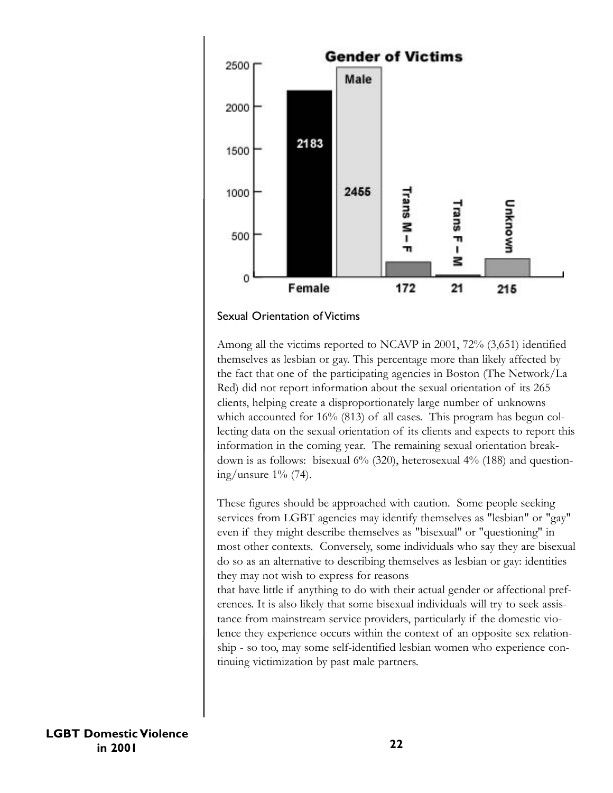



Among all the victims reported to NCAVP in 2001, 72% (3,651) identified themselves as lesbian or gay. This percentage more than likely affected by the fact that one of the participating agencies in Boston (The Network/La Red) did not report information about the sexual orientation of its 265 clients, helping create a disproportionately large number of unknowns which accounted for 16% (813) of all cases. This program has begun collecting data on the sexual orientation of its clients and expects to report this information in the coming year. The remaining sexual orientation breakdown is as follows: bisexual 6% (320), heterosexual 4% (188) and questioning/unsure 1% (74).

These figures should be approached with caution. Some people seeking services from LGBT agencies may identify themselves as "lesbian" or "gay" even if they might describe themselves as "bisexual" or "questioning" in most other contexts. Conversely, some individuals who say they are bisexual do so as an alternative to describing themselves as lesbian or gay: identities they may not wish to express for reasons

that have little if anything to do with their actual gender or affectional preferences. It is also likely that some bisexual individuals will try to seek assistance from mainstream service providers, particularly if the domestic violence they experience occurs within the context of an opposite sex relationship - so too, may some self-identified lesbian women who experience continuing victimization by past male partners.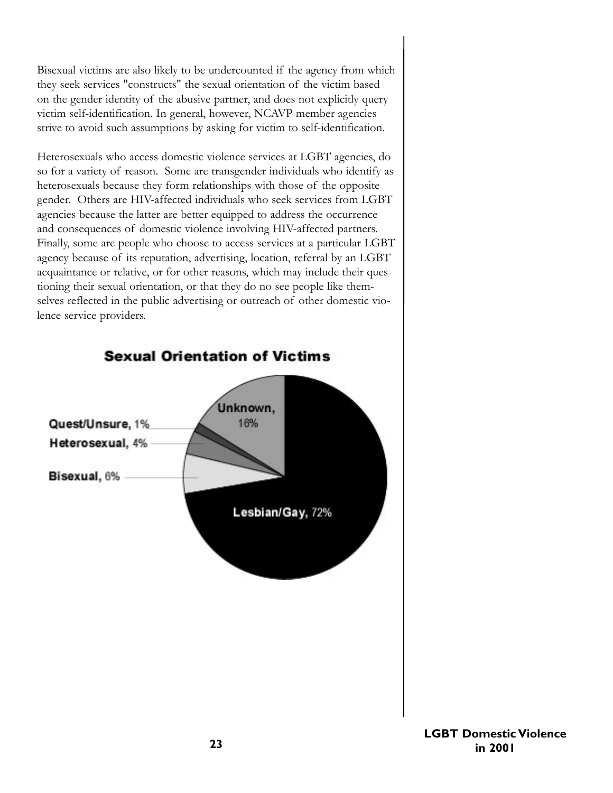Bisexual victims are also likely to be undercounted if the agency from which they seek services "constructs" the sexual orientation of the victim based on the gender identity of the abusive partner, and does not explicitly query victim self-identification. In general, however, NCAVP member agencies strive to avoid such assumptions by asking for victim to self-identification.

Heterosexuals who access domestic violence services at LGBT agencies, do so for a variety of reason. Some are transgender individuals who identify as heterosexuals because they form relationships with those of the opposite gender. Others are HIV-affected individuals who seek services from LGBT agencies because the latter are better equipped to address the occurrence and consequences of domestic violence involving HIV-affected partners. Finally, some are people who choose to access services at a particular LGBT agency because of its reputation, advertising, location, referral by an LGBT acquaintance or relative, or for other reasons, which may include their questioning their sexual orientation, or that they do no see people like themselves reflected in the public advertising or outreach of other domestic violence service providers.

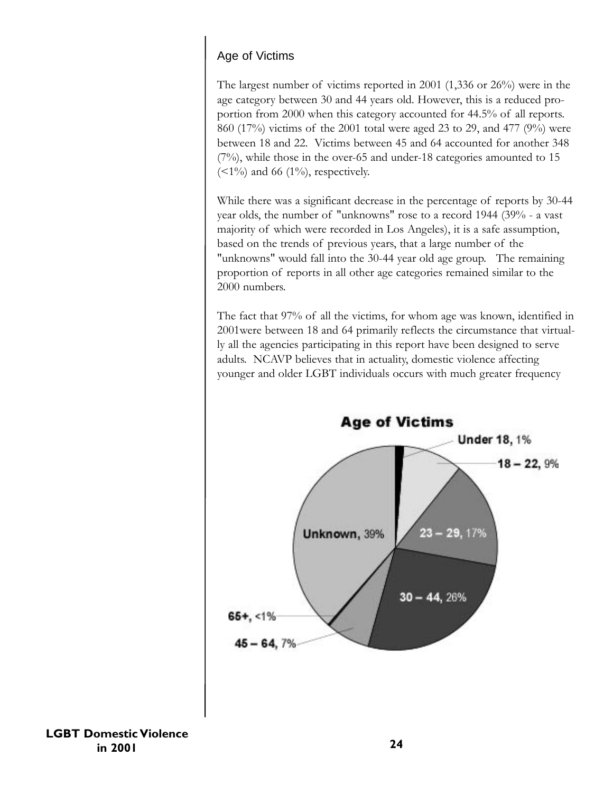# Age of Victims

The largest number of victims reported in 2001 (1,336 or 26%) were in the age category between 30 and 44 years old. However, this is a reduced proportion from 2000 when this category accounted for 44.5% of all reports. 860 (17%) victims of the 2001 total were aged 23 to 29, and 477 (9%) were between 18 and 22. Victims between 45 and 64 accounted for another 348  $(7%)$ , while those in the over-65 and under-18 categories amounted to 15  $\left($  <1%) and 66 (1%), respectively.

While there was a significant decrease in the percentage of reports by 30-44 year olds, the number of "unknowns" rose to a record 1944 (39% - a vast majority of which were recorded in Los Angeles), it is a safe assumption, based on the trends of previous years, that a large number of the "unknowns" would fall into the 30-44 year old age group. The remaining proportion of reports in all other age categories remained similar to the 2000 numbers.

The fact that 97% of all the victims, for whom age was known, identified in 2001were between 18 and 64 primarily reflects the circumstance that virtually all the agencies participating in this report have been designed to serve adults. NCAVP believes that in actuality, domestic violence affecting younger and older LGBT individuals occurs with much greater frequency



**LGBT Domestic Violence in 2001**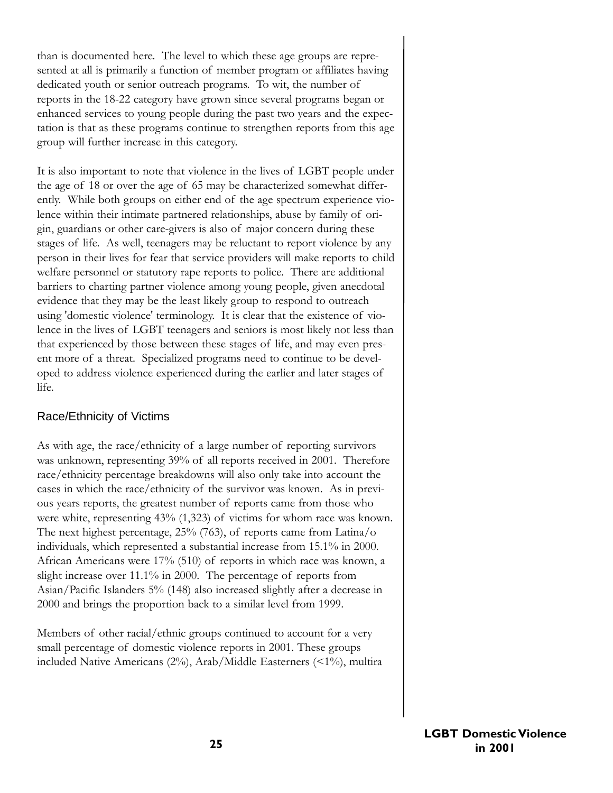than is documented here. The level to which these age groups are represented at all is primarily a function of member program or affiliates having dedicated youth or senior outreach programs. To wit, the number of reports in the 18-22 category have grown since several programs began or enhanced services to young people during the past two years and the expectation is that as these programs continue to strengthen reports from this age group will further increase in this category.

It is also important to note that violence in the lives of LGBT people under the age of 18 or over the age of 65 may be characterized somewhat differently. While both groups on either end of the age spectrum experience violence within their intimate partnered relationships, abuse by family of origin, guardians or other care-givers is also of major concern during these stages of life. As well, teenagers may be reluctant to report violence by any person in their lives for fear that service providers will make reports to child welfare personnel or statutory rape reports to police. There are additional barriers to charting partner violence among young people, given anecdotal evidence that they may be the least likely group to respond to outreach using 'domestic violence' terminology. It is clear that the existence of violence in the lives of LGBT teenagers and seniors is most likely not less than that experienced by those between these stages of life, and may even present more of a threat. Specialized programs need to continue to be developed to address violence experienced during the earlier and later stages of life.

### Race/Ethnicity of Victims

As with age, the race/ethnicity of a large number of reporting survivors was unknown, representing 39% of all reports received in 2001. Therefore race/ethnicity percentage breakdowns will also only take into account the cases in which the race/ethnicity of the survivor was known. As in previous years reports, the greatest number of reports came from those who were white, representing 43% (1,323) of victims for whom race was known. The next highest percentage, 25% (763), of reports came from Latina/o individuals, which represented a substantial increase from 15.1% in 2000. African Americans were 17% (510) of reports in which race was known, a slight increase over 11.1% in 2000. The percentage of reports from Asian/Pacific Islanders 5% (148) also increased slightly after a decrease in 2000 and brings the proportion back to a similar level from 1999.

Members of other racial/ethnic groups continued to account for a very small percentage of domestic violence reports in 2001. These groups included Native Americans (2%), Arab/Middle Easterners (<1%), multira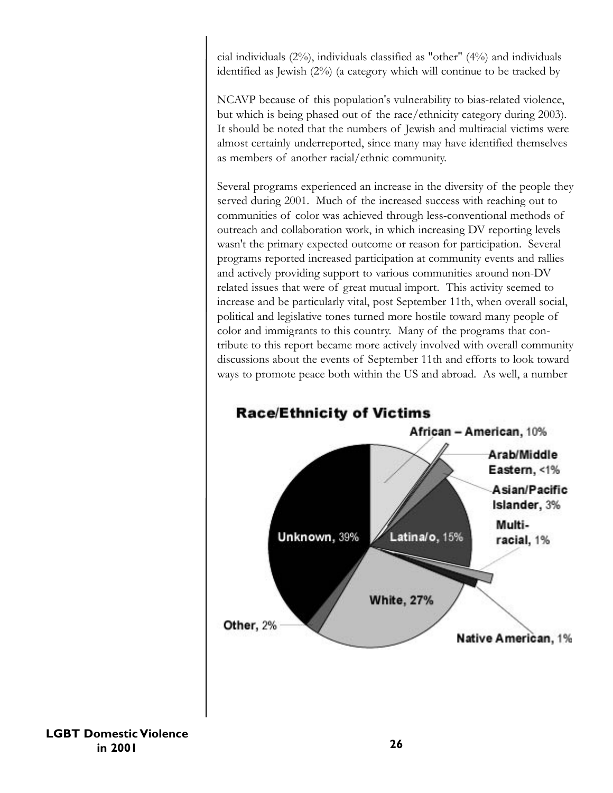cial individuals (2%), individuals classified as "other" (4%) and individuals identified as Jewish (2%) (a category which will continue to be tracked by

NCAVP because of this population's vulnerability to bias-related violence, but which is being phased out of the race/ethnicity category during 2003). It should be noted that the numbers of Jewish and multiracial victims were almost certainly underreported, since many may have identified themselves as members of another racial/ethnic community.

Several programs experienced an increase in the diversity of the people they served during 2001. Much of the increased success with reaching out to communities of color was achieved through less-conventional methods of outreach and collaboration work, in which increasing DV reporting levels wasn't the primary expected outcome or reason for participation. Several programs reported increased participation at community events and rallies and actively providing support to various communities around non-DV related issues that were of great mutual import. This activity seemed to increase and be particularly vital, post September 11th, when overall social, political and legislative tones turned more hostile toward many people of color and immigrants to this country. Many of the programs that contribute to this report became more actively involved with overall community discussions about the events of September 11th and efforts to look toward ways to promote peace both within the US and abroad. As well, a number



**LGBT Domestic Violence in 2001**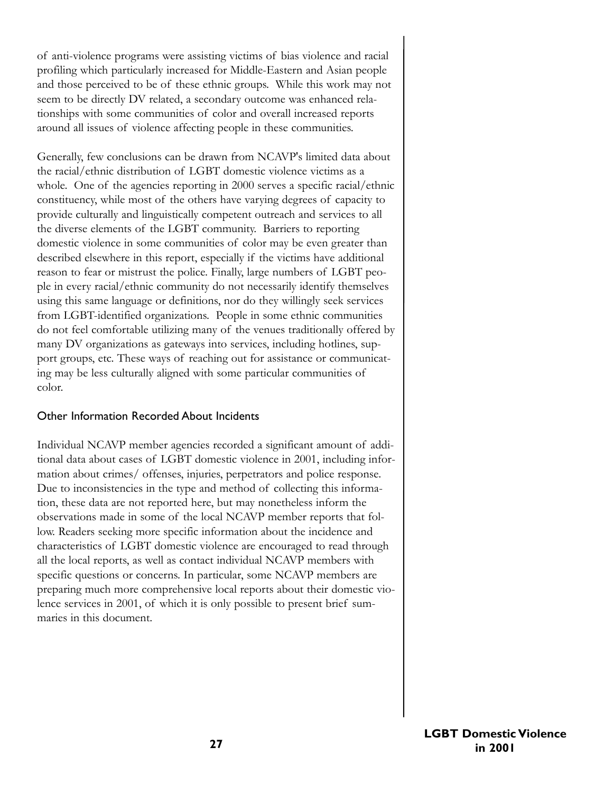of anti-violence programs were assisting victims of bias violence and racial profiling which particularly increased for Middle-Eastern and Asian people and those perceived to be of these ethnic groups. While this work may not seem to be directly DV related, a secondary outcome was enhanced relationships with some communities of color and overall increased reports around all issues of violence affecting people in these communities.

Generally, few conclusions can be drawn from NCAVP's limited data about the racial/ethnic distribution of LGBT domestic violence victims as a whole. One of the agencies reporting in 2000 serves a specific racial/ethnic constituency, while most of the others have varying degrees of capacity to provide culturally and linguistically competent outreach and services to all the diverse elements of the LGBT community. Barriers to reporting domestic violence in some communities of color may be even greater than described elsewhere in this report, especially if the victims have additional reason to fear or mistrust the police. Finally, large numbers of LGBT people in every racial/ethnic community do not necessarily identify themselves using this same language or definitions, nor do they willingly seek services from LGBT-identified organizations. People in some ethnic communities do not feel comfortable utilizing many of the venues traditionally offered by many DV organizations as gateways into services, including hotlines, support groups, etc. These ways of reaching out for assistance or communicating may be less culturally aligned with some particular communities of color.

### Other Information Recorded About Incidents

Individual NCAVP member agencies recorded a significant amount of additional data about cases of LGBT domestic violence in 2001, including information about crimes/ offenses, injuries, perpetrators and police response. Due to inconsistencies in the type and method of collecting this information, these data are not reported here, but may nonetheless inform the observations made in some of the local NCAVP member reports that follow. Readers seeking more specific information about the incidence and characteristics of LGBT domestic violence are encouraged to read through all the local reports, as well as contact individual NCAVP members with specific questions or concerns. In particular, some NCAVP members are preparing much more comprehensive local reports about their domestic violence services in 2001, of which it is only possible to present brief summaries in this document.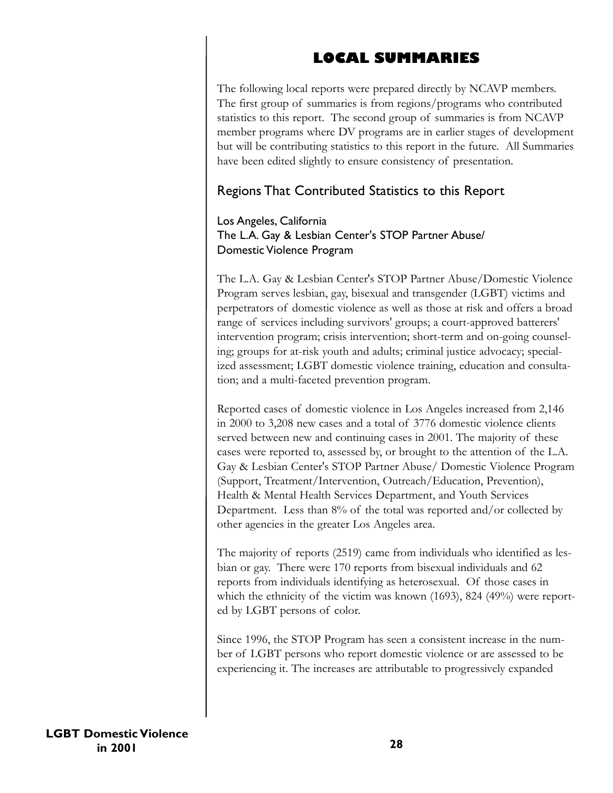# **LOCAL SUMMARIES**

The following local reports were prepared directly by NCAVP members. The first group of summaries is from regions/programs who contributed statistics to this report. The second group of summaries is from NCAVP member programs where DV programs are in earlier stages of development but will be contributing statistics to this report in the future. All Summaries have been edited slightly to ensure consistency of presentation.

# Regions That Contributed Statistics to this Report

# Los Angeles, California The L.A. Gay & Lesbian Center's STOP Partner Abuse/ Domestic Violence Program

The L.A. Gay & Lesbian Center's STOP Partner Abuse/Domestic Violence Program serves lesbian, gay, bisexual and transgender (LGBT) victims and perpetrators of domestic violence as well as those at risk and offers a broad range of services including survivors' groups; a court-approved batterers' intervention program; crisis intervention; short-term and on-going counseling; groups for at-risk youth and adults; criminal justice advocacy; specialized assessment; LGBT domestic violence training, education and consultation; and a multi-faceted prevention program.

Reported cases of domestic violence in Los Angeles increased from 2,146 in 2000 to 3,208 new cases and a total of 3776 domestic violence clients served between new and continuing cases in 2001. The majority of these cases were reported to, assessed by, or brought to the attention of the L.A. Gay & Lesbian Center's STOP Partner Abuse/ Domestic Violence Program (Support, Treatment/Intervention, Outreach/Education, Prevention), Health & Mental Health Services Department, and Youth Services Department. Less than 8% of the total was reported and/or collected by other agencies in the greater Los Angeles area.

The majority of reports (2519) came from individuals who identified as lesbian or gay. There were 170 reports from bisexual individuals and 62 reports from individuals identifying as heterosexual. Of those cases in which the ethnicity of the victim was known (1693), 824 (49%) were reported by LGBT persons of color.

Since 1996, the STOP Program has seen a consistent increase in the number of LGBT persons who report domestic violence or are assessed to be experiencing it. The increases are attributable to progressively expanded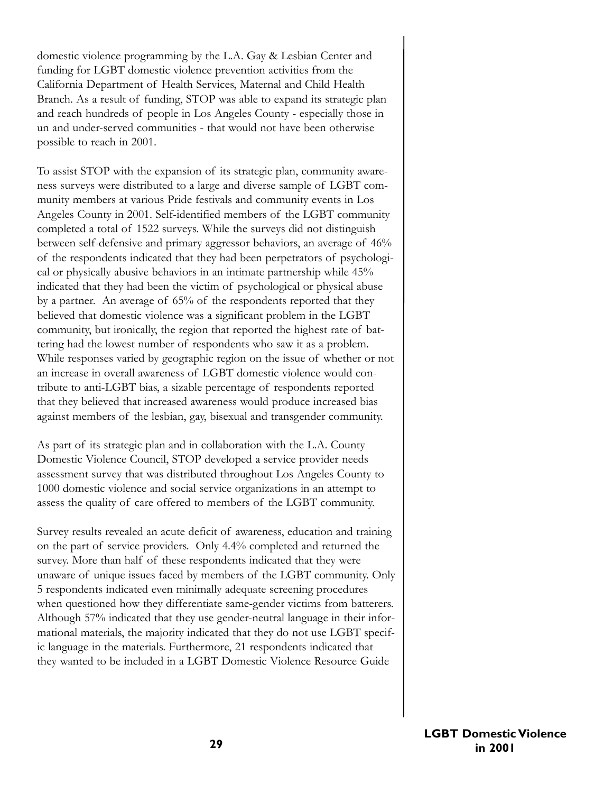domestic violence programming by the L.A. Gay & Lesbian Center and funding for LGBT domestic violence prevention activities from the California Department of Health Services, Maternal and Child Health Branch. As a result of funding, STOP was able to expand its strategic plan and reach hundreds of people in Los Angeles County - especially those in un and under-served communities - that would not have been otherwise possible to reach in 2001.

To assist STOP with the expansion of its strategic plan, community awareness surveys were distributed to a large and diverse sample of LGBT community members at various Pride festivals and community events in Los Angeles County in 2001. Self-identified members of the LGBT community completed a total of 1522 surveys. While the surveys did not distinguish between self-defensive and primary aggressor behaviors, an average of 46% of the respondents indicated that they had been perpetrators of psychological or physically abusive behaviors in an intimate partnership while 45% indicated that they had been the victim of psychological or physical abuse by a partner. An average of 65% of the respondents reported that they believed that domestic violence was a significant problem in the LGBT community, but ironically, the region that reported the highest rate of battering had the lowest number of respondents who saw it as a problem. While responses varied by geographic region on the issue of whether or not an increase in overall awareness of LGBT domestic violence would contribute to anti-LGBT bias, a sizable percentage of respondents reported that they believed that increased awareness would produce increased bias against members of the lesbian, gay, bisexual and transgender community.

As part of its strategic plan and in collaboration with the L.A. County Domestic Violence Council, STOP developed a service provider needs assessment survey that was distributed throughout Los Angeles County to 1000 domestic violence and social service organizations in an attempt to assess the quality of care offered to members of the LGBT community.

Survey results revealed an acute deficit of awareness, education and training on the part of service providers. Only 4.4% completed and returned the survey. More than half of these respondents indicated that they were unaware of unique issues faced by members of the LGBT community. Only 5 respondents indicated even minimally adequate screening procedures when questioned how they differentiate same-gender victims from batterers. Although 57% indicated that they use gender-neutral language in their informational materials, the majority indicated that they do not use LGBT specific language in the materials. Furthermore, 21 respondents indicated that they wanted to be included in a LGBT Domestic Violence Resource Guide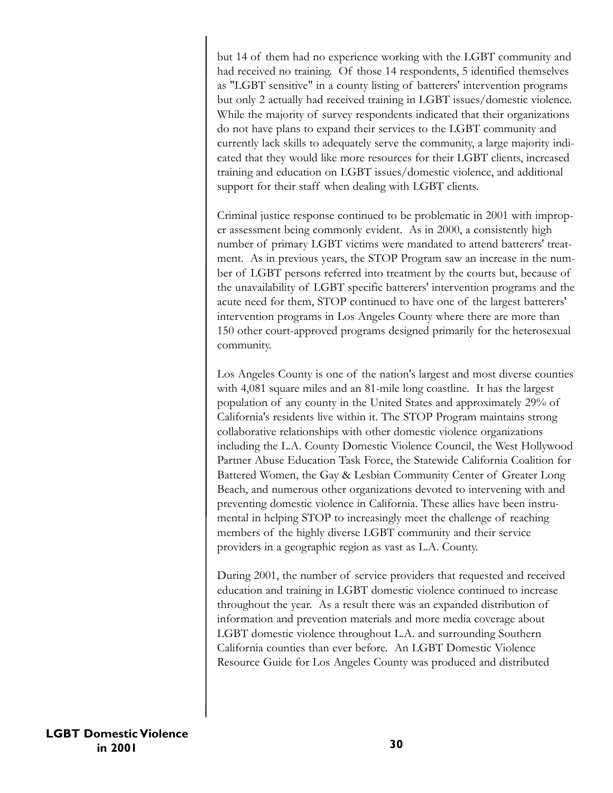but 14 of them had no experience working with the LGBT community and had received no training. Of those 14 respondents, 5 identified themselves as "LGBT sensitive" in a county listing of batterers' intervention programs but only 2 actually had received training in LGBT issues/domestic violence. While the majority of survey respondents indicated that their organizations do not have plans to expand their services to the LGBT community and currently lack skills to adequately serve the community, a large majority indicated that they would like more resources for their LGBT clients, increased training and education on LGBT issues/domestic violence, and additional support for their staff when dealing with LGBT clients.

Criminal justice response continued to be problematic in 2001 with improper assessment being commonly evident. As in 2000, a consistently high number of primary LGBT victims were mandated to attend batterers' treatment. As in previous years, the STOP Program saw an increase in the number of LGBT persons referred into treatment by the courts but, because of the unavailability of LGBT specific batterers' intervention programs and the acute need for them, STOP continued to have one of the largest batterers' intervention programs in Los Angeles County where there are more than 150 other court-approved programs designed primarily for the heterosexual community.

Los Angeles County is one of the nation's largest and most diverse counties with 4,081 square miles and an 81-mile long coastline. It has the largest population of any county in the United States and approximately 29% of California's residents live within it. The STOP Program maintains strong collaborative relationships with other domestic violence organizations including the L.A. County Domestic Violence Council, the West Hollywood Partner Abuse Education Task Force, the Statewide California Coalition for Battered Women, the Gay & Lesbian Community Center of Greater Long Beach, and numerous other organizations devoted to intervening with and preventing domestic violence in California. These allies have been instrumental in helping STOP to increasingly meet the challenge of reaching members of the highly diverse LGBT community and their service providers in a geographic region as vast as L.A. County.

During 2001, the number of service providers that requested and received education and training in LGBT domestic violence continued to increase throughout the year. As a result there was an expanded distribution of information and prevention materials and more media coverage about LGBT domestic violence throughout L.A. and surrounding Southern California counties than ever before. An LGBT Domestic Violence Resource Guide for Los Angeles County was produced and distributed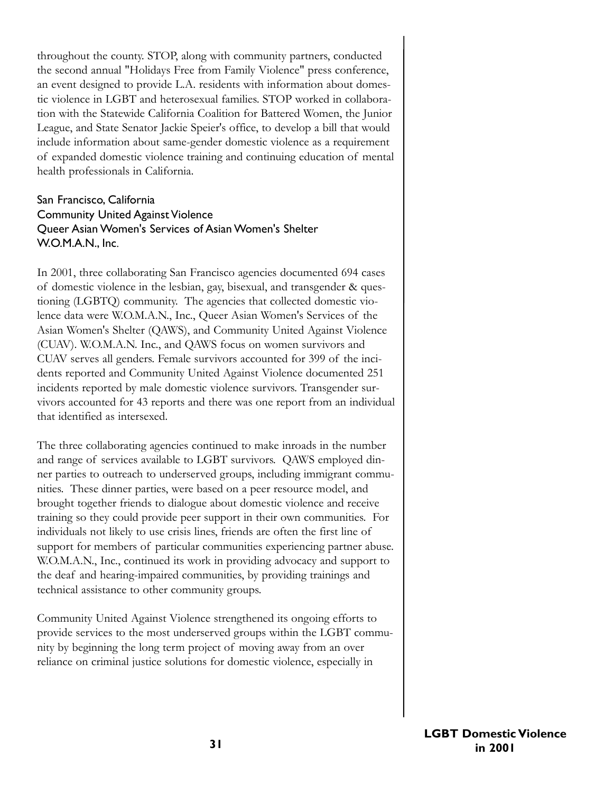throughout the county. STOP, along with community partners, conducted the second annual "Holidays Free from Family Violence" press conference, an event designed to provide L.A. residents with information about domestic violence in LGBT and heterosexual families. STOP worked in collaboration with the Statewide California Coalition for Battered Women, the Junior League, and State Senator Jackie Speier's office, to develop a bill that would include information about same-gender domestic violence as a requirement of expanded domestic violence training and continuing education of mental health professionals in California.

## San Francisco, California Community United Against Violence Queer Asian Women's Services of Asian Women's Shelter W.O.M.A.N., Inc.

In 2001, three collaborating San Francisco agencies documented 694 cases of domestic violence in the lesbian, gay, bisexual, and transgender & questioning (LGBTQ) community. The agencies that collected domestic violence data were W.O.M.A.N., Inc., Queer Asian Women's Services of the Asian Women's Shelter (QAWS), and Community United Against Violence (CUAV). W.O.M.A.N. Inc., and QAWS focus on women survivors and CUAV serves all genders. Female survivors accounted for 399 of the incidents reported and Community United Against Violence documented 251 incidents reported by male domestic violence survivors. Transgender survivors accounted for 43 reports and there was one report from an individual that identified as intersexed.

The three collaborating agencies continued to make inroads in the number and range of services available to LGBT survivors. QAWS employed dinner parties to outreach to underserved groups, including immigrant communities. These dinner parties, were based on a peer resource model, and brought together friends to dialogue about domestic violence and receive training so they could provide peer support in their own communities. For individuals not likely to use crisis lines, friends are often the first line of support for members of particular communities experiencing partner abuse. W.O.M.A.N., Inc., continued its work in providing advocacy and support to the deaf and hearing-impaired communities, by providing trainings and technical assistance to other community groups.

Community United Against Violence strengthened its ongoing efforts to provide services to the most underserved groups within the LGBT community by beginning the long term project of moving away from an over reliance on criminal justice solutions for domestic violence, especially in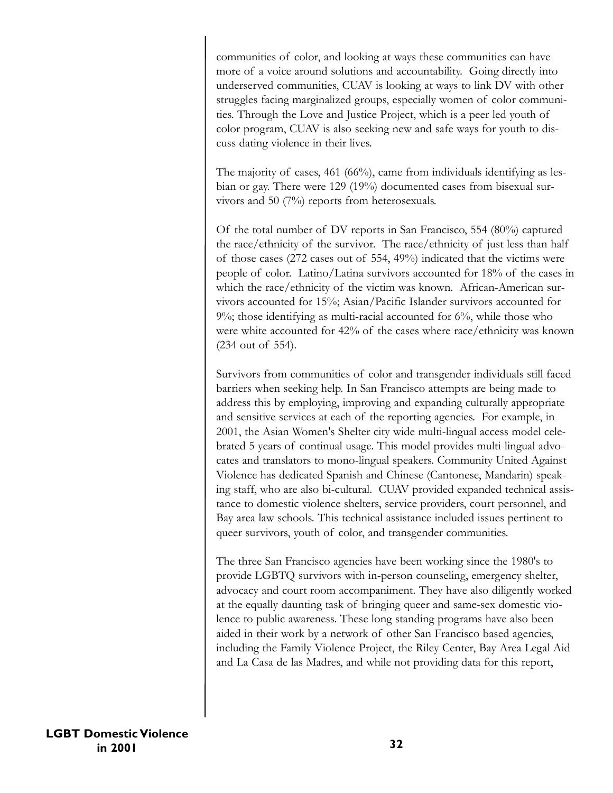communities of color, and looking at ways these communities can have more of a voice around solutions and accountability. Going directly into underserved communities, CUAV is looking at ways to link DV with other struggles facing marginalized groups, especially women of color communities. Through the Love and Justice Project, which is a peer led youth of color program, CUAV is also seeking new and safe ways for youth to discuss dating violence in their lives.

The majority of cases, 461 (66%), came from individuals identifying as lesbian or gay. There were 129 (19%) documented cases from bisexual survivors and 50 (7%) reports from heterosexuals.

Of the total number of DV reports in San Francisco, 554 (80%) captured the race/ethnicity of the survivor. The race/ethnicity of just less than half of those cases (272 cases out of 554, 49%) indicated that the victims were people of color. Latino/Latina survivors accounted for 18% of the cases in which the race/ethnicity of the victim was known. African-American survivors accounted for 15%; Asian/Pacific Islander survivors accounted for 9%; those identifying as multi-racial accounted for 6%, while those who were white accounted for 42% of the cases where race/ethnicity was known (234 out of 554).

Survivors from communities of color and transgender individuals still faced barriers when seeking help. In San Francisco attempts are being made to address this by employing, improving and expanding culturally appropriate and sensitive services at each of the reporting agencies. For example, in 2001, the Asian Women's Shelter city wide multi-lingual access model celebrated 5 years of continual usage. This model provides multi-lingual advocates and translators to mono-lingual speakers. Community United Against Violence has dedicated Spanish and Chinese (Cantonese, Mandarin) speaking staff, who are also bi-cultural. CUAV provided expanded technical assistance to domestic violence shelters, service providers, court personnel, and Bay area law schools. This technical assistance included issues pertinent to queer survivors, youth of color, and transgender communities.

The three San Francisco agencies have been working since the 1980's to provide LGBTQ survivors with in-person counseling, emergency shelter, advocacy and court room accompaniment. They have also diligently worked at the equally daunting task of bringing queer and same-sex domestic violence to public awareness. These long standing programs have also been aided in their work by a network of other San Francisco based agencies, including the Family Violence Project, the Riley Center, Bay Area Legal Aid and La Casa de las Madres, and while not providing data for this report,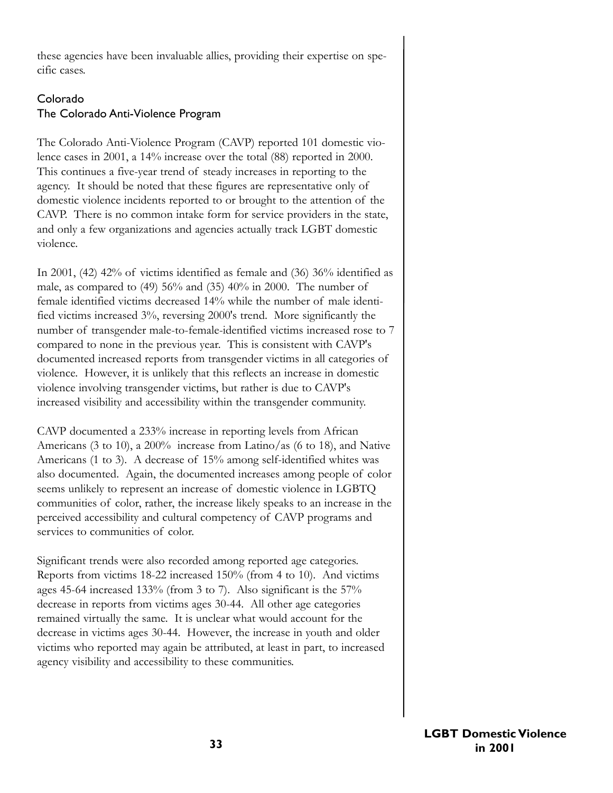these agencies have been invaluable allies, providing their expertise on specific cases.

# Colorado The Colorado Anti-Violence Program

The Colorado Anti-Violence Program (CAVP) reported 101 domestic violence cases in 2001, a 14% increase over the total (88) reported in 2000. This continues a five-year trend of steady increases in reporting to the agency. It should be noted that these figures are representative only of domestic violence incidents reported to or brought to the attention of the CAVP. There is no common intake form for service providers in the state, and only a few organizations and agencies actually track LGBT domestic violence.

In 2001, (42) 42% of victims identified as female and (36) 36% identified as male, as compared to (49) 56% and (35) 40% in 2000. The number of female identified victims decreased 14% while the number of male identified victims increased 3%, reversing 2000's trend. More significantly the number of transgender male-to-female-identified victims increased rose to 7 compared to none in the previous year. This is consistent with CAVP's documented increased reports from transgender victims in all categories of violence. However, it is unlikely that this reflects an increase in domestic violence involving transgender victims, but rather is due to CAVP's increased visibility and accessibility within the transgender community.

CAVP documented a 233% increase in reporting levels from African Americans (3 to 10), a 200% increase from Latino/as (6 to 18), and Native Americans (1 to 3). A decrease of 15% among self-identified whites was also documented. Again, the documented increases among people of color seems unlikely to represent an increase of domestic violence in LGBTQ communities of color, rather, the increase likely speaks to an increase in the perceived accessibility and cultural competency of CAVP programs and services to communities of color.

Significant trends were also recorded among reported age categories. Reports from victims 18-22 increased 150% (from 4 to 10). And victims ages 45-64 increased 133% (from 3 to 7). Also significant is the 57% decrease in reports from victims ages 30-44. All other age categories remained virtually the same. It is unclear what would account for the decrease in victims ages 30-44. However, the increase in youth and older victims who reported may again be attributed, at least in part, to increased agency visibility and accessibility to these communities.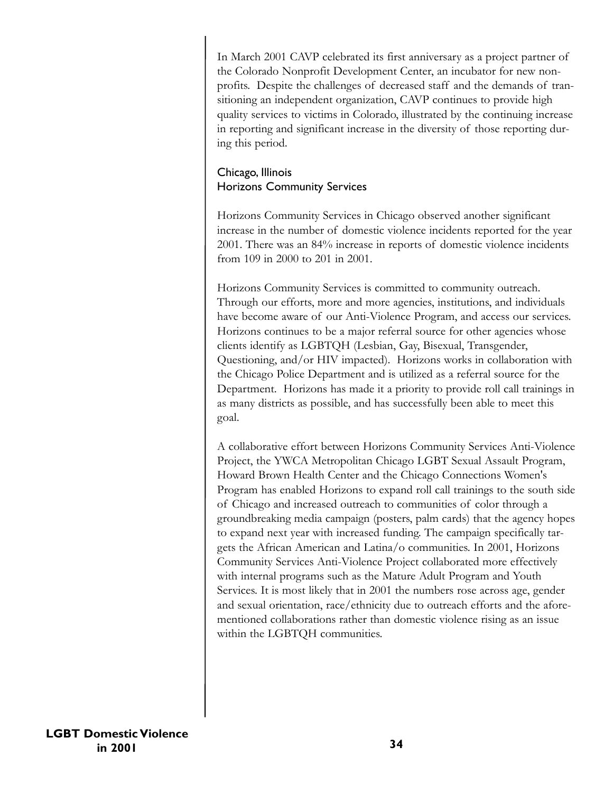In March 2001 CAVP celebrated its first anniversary as a project partner of the Colorado Nonprofit Development Center, an incubator for new nonprofits. Despite the challenges of decreased staff and the demands of transitioning an independent organization, CAVP continues to provide high quality services to victims in Colorado, illustrated by the continuing increase in reporting and significant increase in the diversity of those reporting during this period.

# Chicago, Illinois Horizons Community Services

Horizons Community Services in Chicago observed another significant increase in the number of domestic violence incidents reported for the year 2001. There was an 84% increase in reports of domestic violence incidents from 109 in 2000 to 201 in 2001.

Horizons Community Services is committed to community outreach. Through our efforts, more and more agencies, institutions, and individuals have become aware of our Anti-Violence Program, and access our services. Horizons continues to be a major referral source for other agencies whose clients identify as LGBTQH (Lesbian, Gay, Bisexual, Transgender, Questioning, and/or HIV impacted). Horizons works in collaboration with the Chicago Police Department and is utilized as a referral source for the Department. Horizons has made it a priority to provide roll call trainings in as many districts as possible, and has successfully been able to meet this goal.

A collaborative effort between Horizons Community Services Anti-Violence Project, the YWCA Metropolitan Chicago LGBT Sexual Assault Program, Howard Brown Health Center and the Chicago Connections Women's Program has enabled Horizons to expand roll call trainings to the south side of Chicago and increased outreach to communities of color through a groundbreaking media campaign (posters, palm cards) that the agency hopes to expand next year with increased funding. The campaign specifically targets the African American and Latina/o communities. In 2001, Horizons Community Services Anti-Violence Project collaborated more effectively with internal programs such as the Mature Adult Program and Youth Services. It is most likely that in 2001 the numbers rose across age, gender and sexual orientation, race/ethnicity due to outreach efforts and the aforementioned collaborations rather than domestic violence rising as an issue within the LGBTQH communities.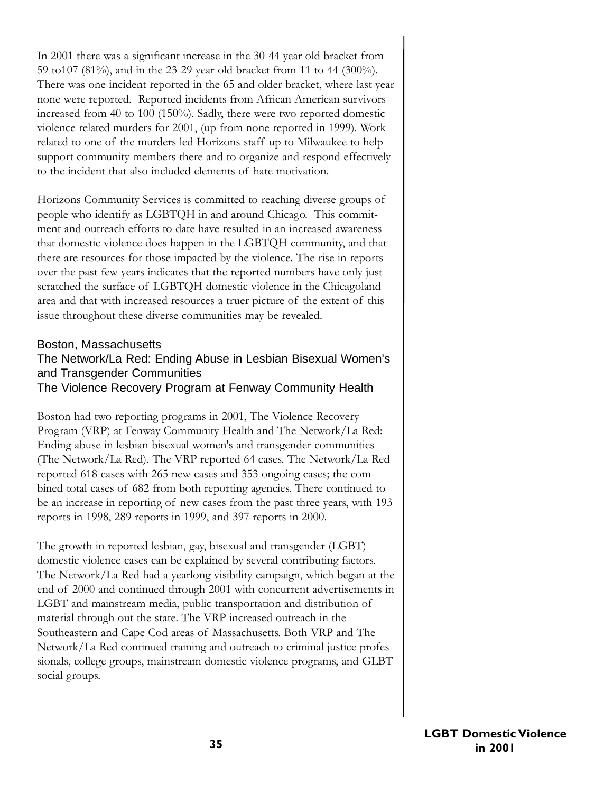In 2001 there was a significant increase in the 30-44 year old bracket from 59 to107 (81%), and in the 23-29 year old bracket from 11 to 44 (300%). There was one incident reported in the 65 and older bracket, where last year none were reported. Reported incidents from African American survivors increased from 40 to 100 (150%). Sadly, there were two reported domestic violence related murders for 2001, (up from none reported in 1999). Work related to one of the murders led Horizons staff up to Milwaukee to help support community members there and to organize and respond effectively to the incident that also included elements of hate motivation.

Horizons Community Services is committed to reaching diverse groups of people who identify as LGBTQH in and around Chicago. This commitment and outreach efforts to date have resulted in an increased awareness that domestic violence does happen in the LGBTQH community, and that there are resources for those impacted by the violence. The rise in reports over the past few years indicates that the reported numbers have only just scratched the surface of LGBTQH domestic violence in the Chicagoland area and that with increased resources a truer picture of the extent of this issue throughout these diverse communities may be revealed.

### Boston, Massachusetts

# The Network/La Red: Ending Abuse in Lesbian Bisexual Women's and Transgender Communities

The Violence Recovery Program at Fenway Community Health

Boston had two reporting programs in 2001, The Violence Recovery Program (VRP) at Fenway Community Health and The Network/La Red: Ending abuse in lesbian bisexual women's and transgender communities (The Network/La Red). The VRP reported 64 cases. The Network/La Red reported 618 cases with 265 new cases and 353 ongoing cases; the combined total cases of 682 from both reporting agencies. There continued to be an increase in reporting of new cases from the past three years, with 193 reports in 1998, 289 reports in 1999, and 397 reports in 2000.

The growth in reported lesbian, gay, bisexual and transgender (LGBT) domestic violence cases can be explained by several contributing factors. The Network/La Red had a yearlong visibility campaign, which began at the end of 2000 and continued through 2001 with concurrent advertisements in LGBT and mainstream media, public transportation and distribution of material through out the state. The VRP increased outreach in the Southeastern and Cape Cod areas of Massachusetts. Both VRP and The Network/La Red continued training and outreach to criminal justice professionals, college groups, mainstream domestic violence programs, and GLBT social groups.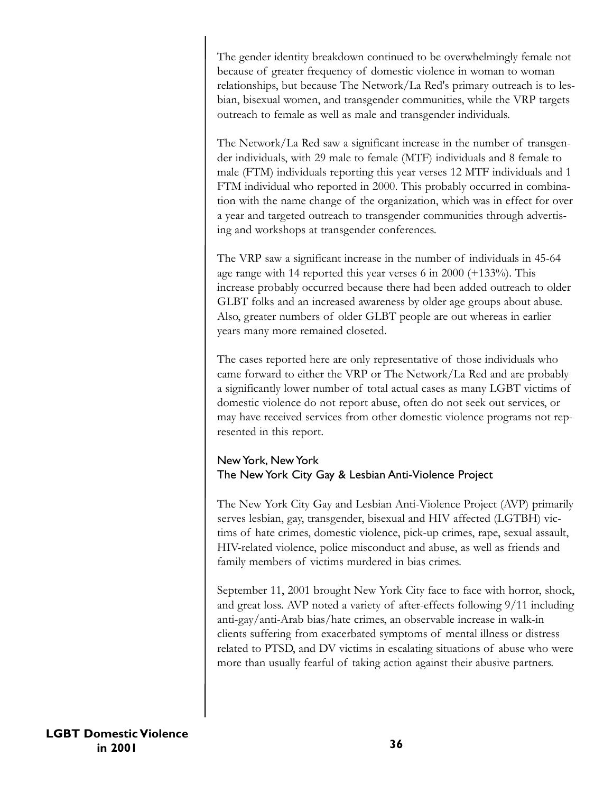The gender identity breakdown continued to be overwhelmingly female not because of greater frequency of domestic violence in woman to woman relationships, but because The Network/La Red's primary outreach is to lesbian, bisexual women, and transgender communities, while the VRP targets outreach to female as well as male and transgender individuals.

The Network/La Red saw a significant increase in the number of transgender individuals, with 29 male to female (MTF) individuals and 8 female to male (FTM) individuals reporting this year verses 12 MTF individuals and 1 FTM individual who reported in 2000. This probably occurred in combination with the name change of the organization, which was in effect for over a year and targeted outreach to transgender communities through advertising and workshops at transgender conferences.

The VRP saw a significant increase in the number of individuals in 45-64 age range with 14 reported this year verses 6 in 2000 (+133%). This increase probably occurred because there had been added outreach to older GLBT folks and an increased awareness by older age groups about abuse. Also, greater numbers of older GLBT people are out whereas in earlier years many more remained closeted.

The cases reported here are only representative of those individuals who came forward to either the VRP or The Network/La Red and are probably a significantly lower number of total actual cases as many LGBT victims of domestic violence do not report abuse, often do not seek out services, or may have received services from other domestic violence programs not represented in this report.

# New York, New York The New York City Gay & Lesbian Anti-Violence Project

The New York City Gay and Lesbian Anti-Violence Project (AVP) primarily serves lesbian, gay, transgender, bisexual and HIV affected (LGTBH) victims of hate crimes, domestic violence, pick-up crimes, rape, sexual assault, HIV-related violence, police misconduct and abuse, as well as friends and family members of victims murdered in bias crimes.

September 11, 2001 brought New York City face to face with horror, shock, and great loss. AVP noted a variety of after-effects following 9/11 including anti-gay/anti-Arab bias/hate crimes, an observable increase in walk-in clients suffering from exacerbated symptoms of mental illness or distress related to PTSD, and DV victims in escalating situations of abuse who were more than usually fearful of taking action against their abusive partners.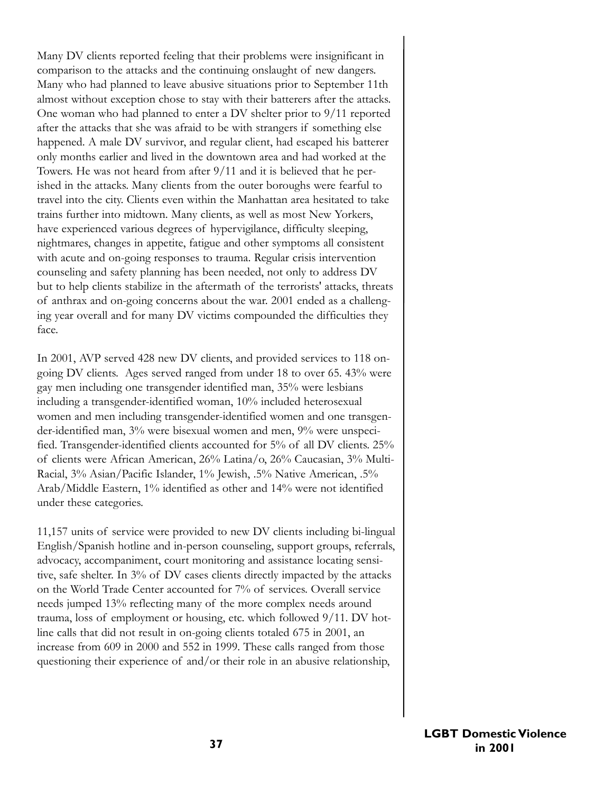Many DV clients reported feeling that their problems were insignificant in comparison to the attacks and the continuing onslaught of new dangers. Many who had planned to leave abusive situations prior to September 11th almost without exception chose to stay with their batterers after the attacks. One woman who had planned to enter a DV shelter prior to 9/11 reported after the attacks that she was afraid to be with strangers if something else happened. A male DV survivor, and regular client, had escaped his batterer only months earlier and lived in the downtown area and had worked at the Towers. He was not heard from after 9/11 and it is believed that he perished in the attacks. Many clients from the outer boroughs were fearful to travel into the city. Clients even within the Manhattan area hesitated to take trains further into midtown. Many clients, as well as most New Yorkers, have experienced various degrees of hypervigilance, difficulty sleeping, nightmares, changes in appetite, fatigue and other symptoms all consistent with acute and on-going responses to trauma. Regular crisis intervention counseling and safety planning has been needed, not only to address DV but to help clients stabilize in the aftermath of the terrorists' attacks, threats of anthrax and on-going concerns about the war. 2001 ended as a challenging year overall and for many DV victims compounded the difficulties they face.

In 2001, AVP served 428 new DV clients, and provided services to 118 ongoing DV clients. Ages served ranged from under 18 to over 65. 43% were gay men including one transgender identified man, 35% were lesbians including a transgender-identified woman, 10% included heterosexual women and men including transgender-identified women and one transgender-identified man, 3% were bisexual women and men, 9% were unspecified. Transgender-identified clients accounted for 5% of all DV clients. 25% of clients were African American, 26% Latina/o, 26% Caucasian, 3% Multi-Racial, 3% Asian/Pacific Islander, 1% Jewish, .5% Native American, .5% Arab/Middle Eastern, 1% identified as other and 14% were not identified under these categories.

11,157 units of service were provided to new DV clients including bi-lingual English/Spanish hotline and in-person counseling, support groups, referrals, advocacy, accompaniment, court monitoring and assistance locating sensitive, safe shelter. In 3% of DV cases clients directly impacted by the attacks on the World Trade Center accounted for 7% of services. Overall service needs jumped 13% reflecting many of the more complex needs around trauma, loss of employment or housing, etc. which followed 9/11. DV hotline calls that did not result in on-going clients totaled 675 in 2001, an increase from 609 in 2000 and 552 in 1999. These calls ranged from those questioning their experience of and/or their role in an abusive relationship,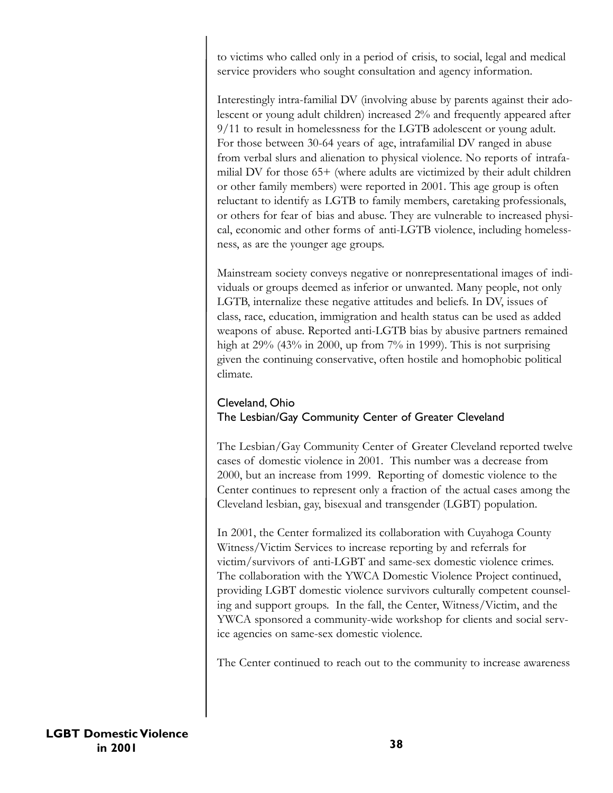to victims who called only in a period of crisis, to social, legal and medical service providers who sought consultation and agency information.

Interestingly intra-familial DV (involving abuse by parents against their adolescent or young adult children) increased 2% and frequently appeared after 9/11 to result in homelessness for the LGTB adolescent or young adult. For those between 30-64 years of age, intrafamilial DV ranged in abuse from verbal slurs and alienation to physical violence. No reports of intrafamilial DV for those 65+ (where adults are victimized by their adult children or other family members) were reported in 2001. This age group is often reluctant to identify as LGTB to family members, caretaking professionals, or others for fear of bias and abuse. They are vulnerable to increased physical, economic and other forms of anti-LGTB violence, including homelessness, as are the younger age groups.

Mainstream society conveys negative or nonrepresentational images of individuals or groups deemed as inferior or unwanted. Many people, not only LGTB, internalize these negative attitudes and beliefs. In DV, issues of class, race, education, immigration and health status can be used as added weapons of abuse. Reported anti-LGTB bias by abusive partners remained high at  $29\%$  (43% in 2000, up from 7% in 1999). This is not surprising given the continuing conservative, often hostile and homophobic political climate.

### Cleveland, Ohio The Lesbian/Gay Community Center of Greater Cleveland

The Lesbian/Gay Community Center of Greater Cleveland reported twelve cases of domestic violence in 2001. This number was a decrease from 2000, but an increase from 1999. Reporting of domestic violence to the Center continues to represent only a fraction of the actual cases among the Cleveland lesbian, gay, bisexual and transgender (LGBT) population.

In 2001, the Center formalized its collaboration with Cuyahoga County Witness/Victim Services to increase reporting by and referrals for victim/survivors of anti-LGBT and same-sex domestic violence crimes. The collaboration with the YWCA Domestic Violence Project continued, providing LGBT domestic violence survivors culturally competent counseling and support groups. In the fall, the Center, Witness/Victim, and the YWCA sponsored a community-wide workshop for clients and social service agencies on same-sex domestic violence.

The Center continued to reach out to the community to increase awareness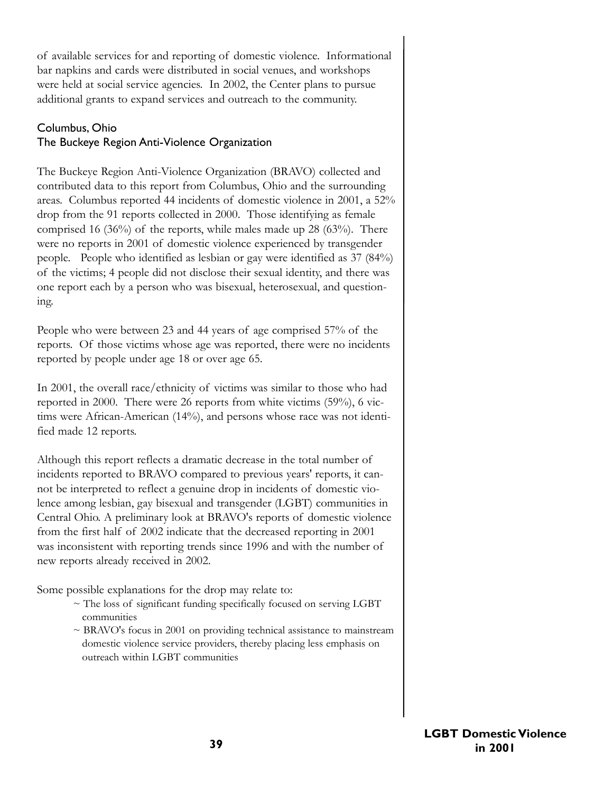of available services for and reporting of domestic violence. Informational bar napkins and cards were distributed in social venues, and workshops were held at social service agencies. In 2002, the Center plans to pursue additional grants to expand services and outreach to the community.

# Columbus, Ohio The Buckeye Region Anti-Violence Organization

The Buckeye Region Anti-Violence Organization (BRAVO) collected and contributed data to this report from Columbus, Ohio and the surrounding areas. Columbus reported 44 incidents of domestic violence in 2001, a 52% drop from the 91 reports collected in 2000. Those identifying as female comprised 16 (36%) of the reports, while males made up 28 (63%). There were no reports in 2001 of domestic violence experienced by transgender people. People who identified as lesbian or gay were identified as 37 (84%) of the victims; 4 people did not disclose their sexual identity, and there was one report each by a person who was bisexual, heterosexual, and questioning.

People who were between 23 and 44 years of age comprised 57% of the reports. Of those victims whose age was reported, there were no incidents reported by people under age 18 or over age 65.

In 2001, the overall race/ethnicity of victims was similar to those who had reported in 2000. There were 26 reports from white victims (59%), 6 victims were African-American (14%), and persons whose race was not identified made 12 reports.

Although this report reflects a dramatic decrease in the total number of incidents reported to BRAVO compared to previous years' reports, it cannot be interpreted to reflect a genuine drop in incidents of domestic violence among lesbian, gay bisexual and transgender (LGBT) communities in Central Ohio. A preliminary look at BRAVO's reports of domestic violence from the first half of 2002 indicate that the decreased reporting in 2001 was inconsistent with reporting trends since 1996 and with the number of new reports already received in 2002.

Some possible explanations for the drop may relate to:

- $\sim$  The loss of significant funding specifically focused on serving LGBT communities
- $\sim$  BRAVO's focus in 2001 on providing technical assistance to mainstream domestic violence service providers, thereby placing less emphasis on outreach within LGBT communities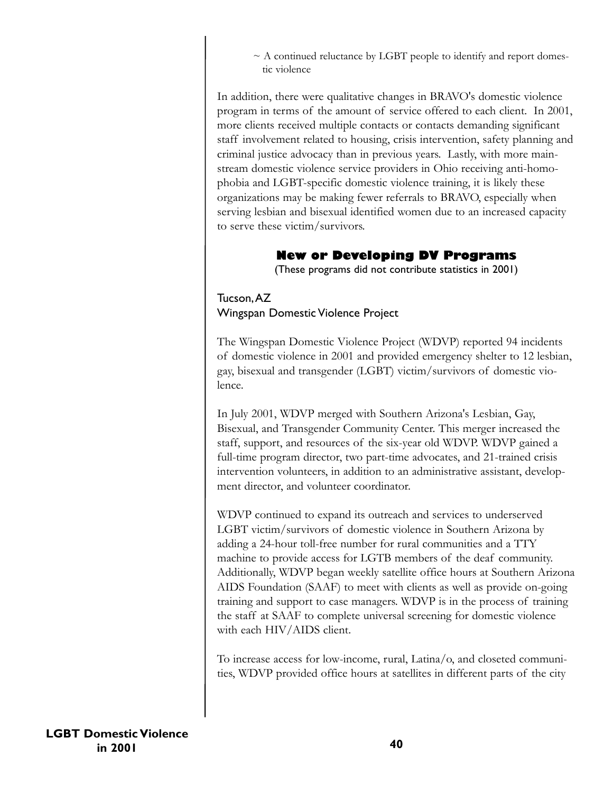$\sim$  A continued reluctance by LGBT people to identify and report domestic violence

In addition, there were qualitative changes in BRAVO's domestic violence program in terms of the amount of service offered to each client. In 2001, more clients received multiple contacts or contacts demanding significant staff involvement related to housing, crisis intervention, safety planning and criminal justice advocacy than in previous years. Lastly, with more mainstream domestic violence service providers in Ohio receiving anti-homophobia and LGBT-specific domestic violence training, it is likely these organizations may be making fewer referrals to BRAVO, especially when serving lesbian and bisexual identified women due to an increased capacity to serve these victim/survivors.

# **New or Developing DV Programs**

(These programs did not contribute statistics in 2001)

# Tucson,AZ Wingspan Domestic Violence Project

The Wingspan Domestic Violence Project (WDVP) reported 94 incidents of domestic violence in 2001 and provided emergency shelter to 12 lesbian, gay, bisexual and transgender (LGBT) victim/survivors of domestic violence.

In July 2001, WDVP merged with Southern Arizona's Lesbian, Gay, Bisexual, and Transgender Community Center. This merger increased the staff, support, and resources of the six-year old WDVP. WDVP gained a full-time program director, two part-time advocates, and 21-trained crisis intervention volunteers, in addition to an administrative assistant, development director, and volunteer coordinator.

WDVP continued to expand its outreach and services to underserved LGBT victim/survivors of domestic violence in Southern Arizona by adding a 24-hour toll-free number for rural communities and a TTY machine to provide access for LGTB members of the deaf community. Additionally, WDVP began weekly satellite office hours at Southern Arizona AIDS Foundation (SAAF) to meet with clients as well as provide on-going training and support to case managers. WDVP is in the process of training the staff at SAAF to complete universal screening for domestic violence with each HIV/AIDS client.

To increase access for low-income, rural, Latina/o, and closeted communities, WDVP provided office hours at satellites in different parts of the city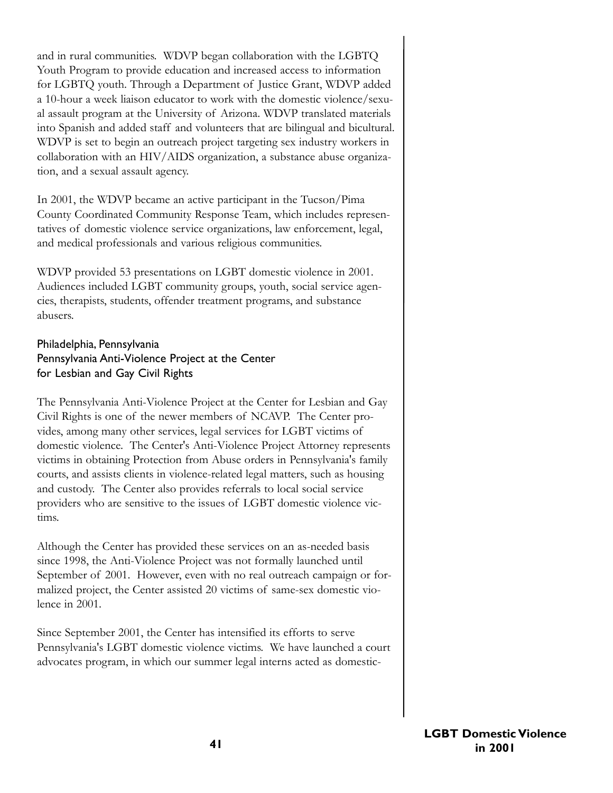and in rural communities. WDVP began collaboration with the LGBTQ Youth Program to provide education and increased access to information for LGBTQ youth. Through a Department of Justice Grant, WDVP added a 10-hour a week liaison educator to work with the domestic violence/sexual assault program at the University of Arizona. WDVP translated materials into Spanish and added staff and volunteers that are bilingual and bicultural. WDVP is set to begin an outreach project targeting sex industry workers in collaboration with an HIV/AIDS organization, a substance abuse organization, and a sexual assault agency.

In 2001, the WDVP became an active participant in the Tucson/Pima County Coordinated Community Response Team, which includes representatives of domestic violence service organizations, law enforcement, legal, and medical professionals and various religious communities.

WDVP provided 53 presentations on LGBT domestic violence in 2001. Audiences included LGBT community groups, youth, social service agencies, therapists, students, offender treatment programs, and substance abusers.

### Philadelphia, Pennsylvania Pennsylvania Anti-Violence Project at the Center for Lesbian and Gay Civil Rights

The Pennsylvania Anti-Violence Project at the Center for Lesbian and Gay Civil Rights is one of the newer members of NCAVP. The Center provides, among many other services, legal services for LGBT victims of domestic violence. The Center's Anti-Violence Project Attorney represents victims in obtaining Protection from Abuse orders in Pennsylvania's family courts, and assists clients in violence-related legal matters, such as housing and custody. The Center also provides referrals to local social service providers who are sensitive to the issues of LGBT domestic violence victims.

Although the Center has provided these services on an as-needed basis since 1998, the Anti-Violence Project was not formally launched until September of 2001. However, even with no real outreach campaign or formalized project, the Center assisted 20 victims of same-sex domestic violence in 2001.

Since September 2001, the Center has intensified its efforts to serve Pennsylvania's LGBT domestic violence victims. We have launched a court advocates program, in which our summer legal interns acted as domestic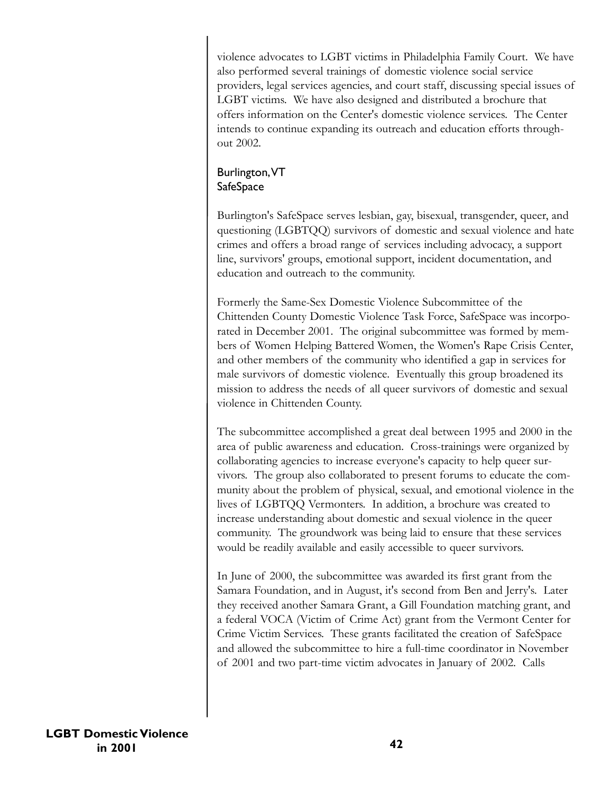violence advocates to LGBT victims in Philadelphia Family Court. We have also performed several trainings of domestic violence social service providers, legal services agencies, and court staff, discussing special issues of LGBT victims. We have also designed and distributed a brochure that offers information on the Center's domestic violence services. The Center intends to continue expanding its outreach and education efforts throughout 2002.

# Burlington,VT **SafeSpace**

Burlington's SafeSpace serves lesbian, gay, bisexual, transgender, queer, and questioning (LGBTQQ) survivors of domestic and sexual violence and hate crimes and offers a broad range of services including advocacy, a support line, survivors' groups, emotional support, incident documentation, and education and outreach to the community.

Formerly the Same-Sex Domestic Violence Subcommittee of the Chittenden County Domestic Violence Task Force, SafeSpace was incorporated in December 2001. The original subcommittee was formed by members of Women Helping Battered Women, the Women's Rape Crisis Center, and other members of the community who identified a gap in services for male survivors of domestic violence. Eventually this group broadened its mission to address the needs of all queer survivors of domestic and sexual violence in Chittenden County.

The subcommittee accomplished a great deal between 1995 and 2000 in the area of public awareness and education. Cross-trainings were organized by collaborating agencies to increase everyone's capacity to help queer survivors. The group also collaborated to present forums to educate the community about the problem of physical, sexual, and emotional violence in the lives of LGBTQQ Vermonters. In addition, a brochure was created to increase understanding about domestic and sexual violence in the queer community. The groundwork was being laid to ensure that these services would be readily available and easily accessible to queer survivors.

In June of 2000, the subcommittee was awarded its first grant from the Samara Foundation, and in August, it's second from Ben and Jerry's. Later they received another Samara Grant, a Gill Foundation matching grant, and a federal VOCA (Victim of Crime Act) grant from the Vermont Center for Crime Victim Services. These grants facilitated the creation of SafeSpace and allowed the subcommittee to hire a full-time coordinator in November of 2001 and two part-time victim advocates in January of 2002. Calls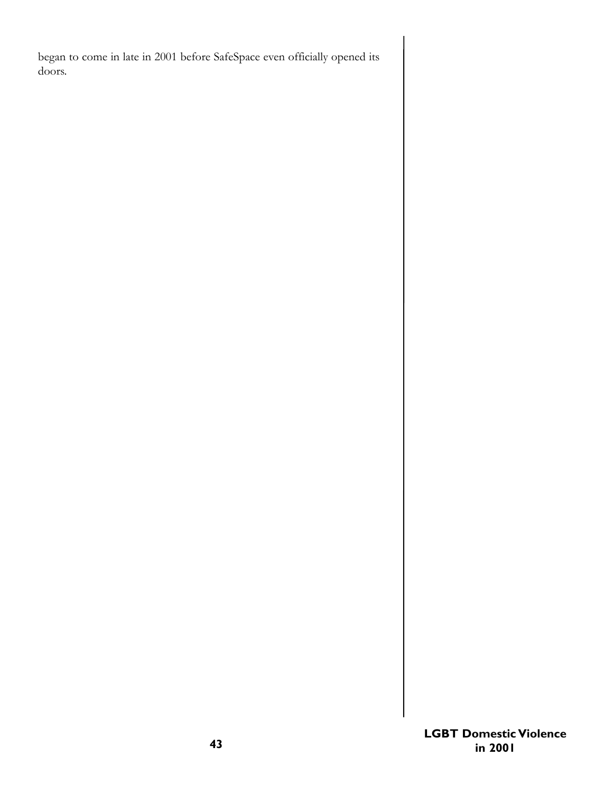began to come in late in 2001 before SafeSpace even officially opened its doors.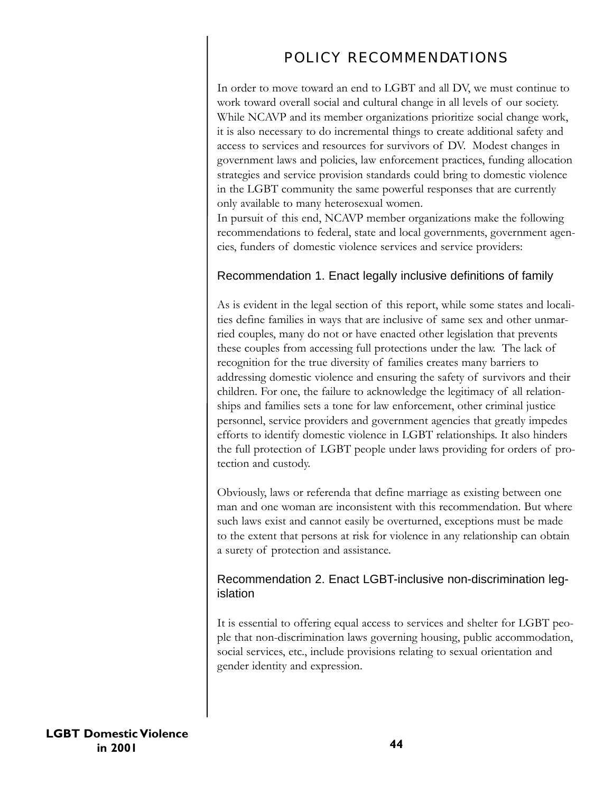# POLICY RECOMMENDATIONS

In order to move toward an end to LGBT and all DV, we must continue to work toward overall social and cultural change in all levels of our society. While NCAVP and its member organizations prioritize social change work, it is also necessary to do incremental things to create additional safety and access to services and resources for survivors of DV. Modest changes in government laws and policies, law enforcement practices, funding allocation strategies and service provision standards could bring to domestic violence in the LGBT community the same powerful responses that are currently only available to many heterosexual women.

In pursuit of this end, NCAVP member organizations make the following recommendations to federal, state and local governments, government agencies, funders of domestic violence services and service providers:

# Recommendation 1. Enact legally inclusive definitions of family

As is evident in the legal section of this report, while some states and localities define families in ways that are inclusive of same sex and other unmarried couples, many do not or have enacted other legislation that prevents these couples from accessing full protections under the law. The lack of recognition for the true diversity of families creates many barriers to addressing domestic violence and ensuring the safety of survivors and their children. For one, the failure to acknowledge the legitimacy of all relationships and families sets a tone for law enforcement, other criminal justice personnel, service providers and government agencies that greatly impedes efforts to identify domestic violence in LGBT relationships. It also hinders the full protection of LGBT people under laws providing for orders of protection and custody.

Obviously, laws or referenda that define marriage as existing between one man and one woman are inconsistent with this recommendation. But where such laws exist and cannot easily be overturned, exceptions must be made to the extent that persons at risk for violence in any relationship can obtain a surety of protection and assistance.

# Recommendation 2. Enact LGBT-inclusive non-discrimination legislation

It is essential to offering equal access to services and shelter for LGBT people that non-discrimination laws governing housing, public accommodation, social services, etc., include provisions relating to sexual orientation and gender identity and expression.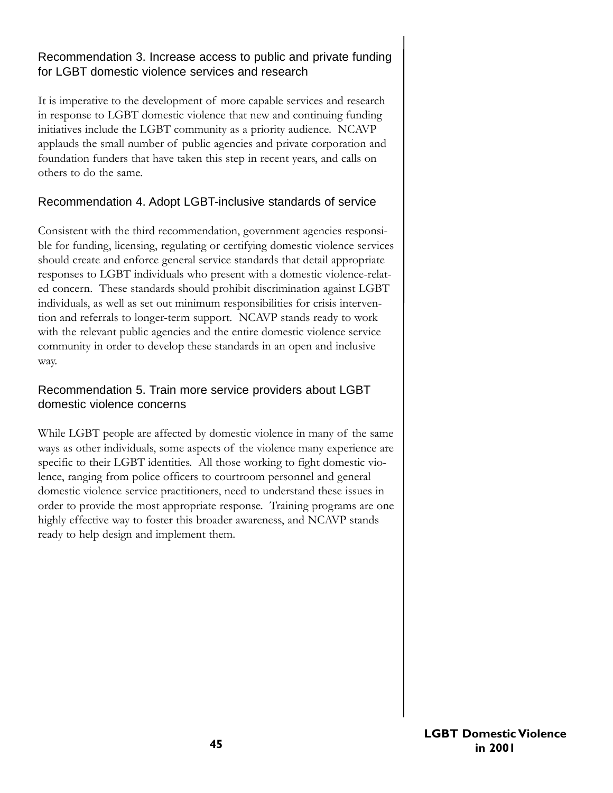# Recommendation 3. Increase access to public and private funding for LGBT domestic violence services and research

It is imperative to the development of more capable services and research in response to LGBT domestic violence that new and continuing funding initiatives include the LGBT community as a priority audience. NCAVP applauds the small number of public agencies and private corporation and foundation funders that have taken this step in recent years, and calls on others to do the same.

# Recommendation 4. Adopt LGBT-inclusive standards of service

Consistent with the third recommendation, government agencies responsible for funding, licensing, regulating or certifying domestic violence services should create and enforce general service standards that detail appropriate responses to LGBT individuals who present with a domestic violence-related concern. These standards should prohibit discrimination against LGBT individuals, as well as set out minimum responsibilities for crisis intervention and referrals to longer-term support. NCAVP stands ready to work with the relevant public agencies and the entire domestic violence service community in order to develop these standards in an open and inclusive way.

# Recommendation 5. Train more service providers about LGBT domestic violence concerns

While LGBT people are affected by domestic violence in many of the same ways as other individuals, some aspects of the violence many experience are specific to their LGBT identities. All those working to fight domestic violence, ranging from police officers to courtroom personnel and general domestic violence service practitioners, need to understand these issues in order to provide the most appropriate response. Training programs are one highly effective way to foster this broader awareness, and NCAVP stands ready to help design and implement them.